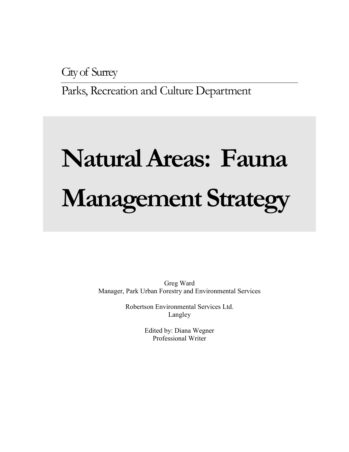City of Surrey

Parks, Recreation and Culture Department

# **Natural Areas: Fauna Management Strategy**

Greg Ward Manager, Park Urban Forestry and Environmental Services

> Robertson Environmental Services Ltd. Langley

> > Edited by: Diana Wegner Professional Writer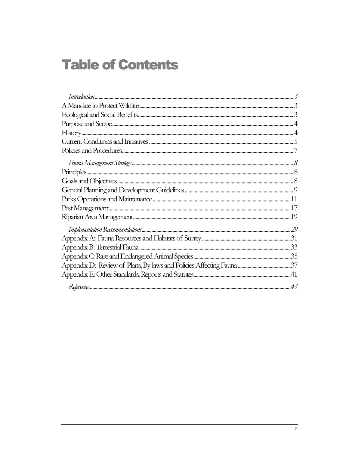# **Table of Contents**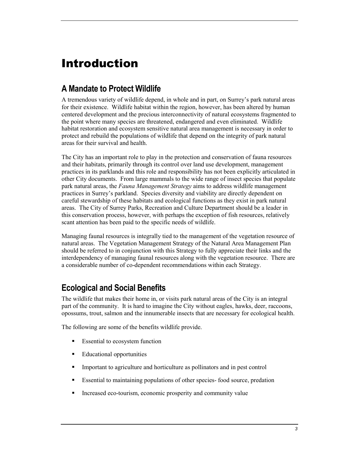# <span id="page-2-0"></span>Introduction

## **A Mandate to Protect Wildlife**

A tremendous variety of wildlife depend, in whole and in part, on Surrey's park natural areas for their existence. Wildlife habitat within the region, however, has been altered by human centered development and the precious interconnectivity of natural ecosystems fragmented to the point where many species are threatened, endangered and even eliminated. Wildlife habitat restoration and ecosystem sensitive natural area management is necessary in order to protect and rebuild the populations of wildlife that depend on the integrity of park natural areas for their survival and health.

The City has an important role to play in the protection and conservation of fauna resources and their habitats, primarily through its control over land use development, management practices in its parklands and this role and responsibility has not been explicitly articulated in other City documents. From large mammals to the wide range of insect species that populate park natural areas, the *Fauna Management Strategy* aims to address wildlife management practices in Surrey's parkland. Species diversity and viability are directly dependent on careful stewardship of these habitats and ecological functions as they exist in park natural areas. The City of Surrey Parks, Recreation and Culture Department should be a leader in this conservation process, however, with perhaps the exception of fish resources, relatively scant attention has been paid to the specific needs of wildlife.

Managing faunal resources is integrally tied to the management of the vegetation resource of natural areas. The Vegetation Management Strategy of the Natural Area Management Plan should be referred to in conjunction with this Strategy to fully appreciate their links and the interdependency of managing faunal resources along with the vegetation resource. There are a considerable number of co-dependent recommendations within each Strategy.

## **Ecological and Social Benefits**

The wildlife that makes their home in, or visits park natural areas of the City is an integral part of the community. It is hard to imagine the City without eagles, hawks, deer, raccoons, opossums, trout, salmon and the innumerable insects that are necessary for ecological health.

The following are some of the benefits wildlife provide.

- -Essential to ecosystem function
- -Educational opportunities
- -Important to agriculture and horticulture as pollinators and in pest control
- -Essential to maintaining populations of other species- food source, predation
- -Increased eco-tourism, economic prosperity and community value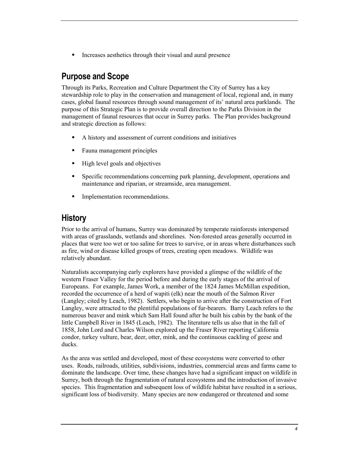<span id="page-3-0"></span>**Increases aesthetics through their visual and aural presence** 

## **Purpose and Scope**

Through its Parks, Recreation and Culture Department the City of Surrey has a key stewardship role to play in the conservation and management of local, regional and, in many cases, global faunal resources through sound management of its' natural area parklands. The purpose of this Strategic Plan is to provide overall direction to the Parks Division in the management of faunal resources that occur in Surrey parks. The Plan provides background and strategic direction as follows:

- -A history and assessment of current conditions and initiatives
- -Fauna management principles
- -High level goals and objectives
- - Specific recommendations concerning park planning, development, operations and maintenance and riparian, or streamside, area management.
- -Implementation recommendations.

## **History**

Prior to the arrival of humans, Surrey was dominated by temperate rainforests interspersed with areas of grasslands, wetlands and shorelines. Non-forested areas generally occurred in places that were too wet or too saline for trees to survive, or in areas where disturbances such as fire, wind or disease killed groups of trees, creating open meadows. Wildlife was relatively abundant.

Naturalists accompanying early explorers have provided a glimpse of the wildlife of the western Fraser Valley for the period before and during the early stages of the arrival of Europeans. For example, James Work, a member of the 1824 James McMillan expedition, recorded the occurrence of a herd of wapiti (elk) near the mouth of the Salmon River (Langley; cited by Leach, 1982). Settlers, who begin to arrive after the construction of Fort Langley, were attracted to the plentiful populations of fur-bearers. Barry Leach refers to the numerous beaver and mink which Sam Hall found after he built his cabin by the bank of the little Campbell River in 1845 (Leach, 1982). The literature tells us also that in the fall of 1858, John Lord and Charles Wilson explored up the Fraser River reporting California condor, turkey vulture, bear, deer, otter, mink, and the continuous cackling of geese and ducks.

As the area was settled and developed, most of these ecosystems were converted to other uses. Roads, railroads, utilities, subdivisions, industries, commercial areas and farms came to dominate the landscape. Over time, these changes have had a significant impact on wildlife in Surrey, both through the fragmentation of natural ecosystems and the introduction of invasive species. This fragmentation and subsequent loss of wildlife habitat have resulted in a serious, significant loss of biodiversity. Many species are now endangered or threatened and some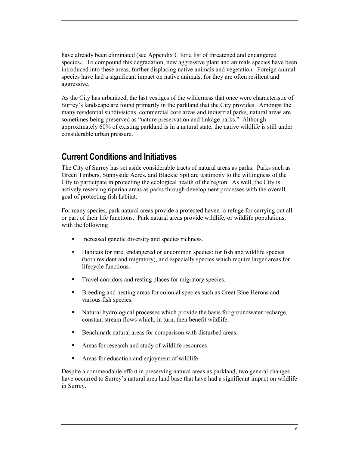<span id="page-4-0"></span>have already been eliminated (see Appendix C for a list of threatened and endangered species). To compound this degradation, new aggressive plant and animals species have been introduced into these areas, further displacing native animals and vegetation. Foreign animal species have had a significant impact on native animals, for they are often resilient and aggressive.

As the City has urbanized, the last vestiges of the wilderness that once were characteristic of Surrey's landscape are found primarily in the parkland that the City provides. Amongst the many residential subdivisions, commercial core areas and industrial parks, natural areas are sometimes being preserved as "nature preservation and linkage parks." Although approximately 60% of existing parkland is in a natural state, the native wildlife is still under considerable urban pressure.

## **Current Conditions and Initiatives**

The City of Surrey has set aside considerable tracts of natural areas as parks. Parks such as Green Timbers, Sunnyside Acres, and Blackie Spit are testimony to the willingness of the City to participate in protecting the ecological health of the region. As well, the City is actively reserving riparian areas as parks through development processes with the overall goal of protecting fish habitat.

For many species, park natural areas provide a protected haven- a refuge for carrying out all or part of their life functions. Park natural areas provide wildlife, or wildlife populations, with the following

- -Increased genetic diversity and species richness.
- - Habitats for rare, endangered or uncommon species: for fish and wildlife species (both resident and migratory), and especially species which require larger areas for lifecycle functions.
- -Travel corridors and resting places for migratory species.
- - Breeding and nesting areas for colonial species such as Great Blue Herons and various fish species.
- - Natural hydrological processes which provide the basis for groundwater recharge, constant stream flows which, in turn, then benefit wildlife.
- -Benchmark natural areas for comparison with disturbed areas.
- -Areas for research and study of wildlife resources
- -Areas for education and enjoyment of wildlife

Despite a commendable effort in preserving natural areas as parkland, two general changes have occurred to Surrey's natural area land base that have had a significant impact on wildlife in Surrey.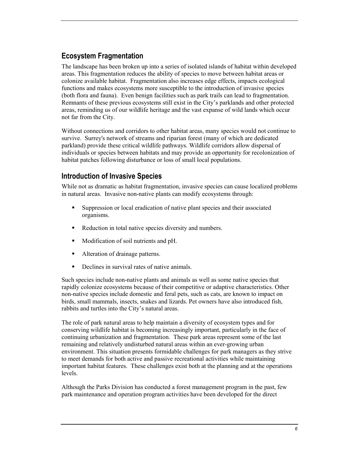## **Ecosystem Fragmentation**

The landscape has been broken up into a series of isolated islands of habitat within developed areas. This fragmentation reduces the ability of species to move between habitat areas or colonize available habitat. Fragmentation also increases edge effects, impacts ecological functions and makes ecosystems more susceptible to the introduction of invasive species (both flora and fauna). Even benign facilities such as park trails can lead to fragmentation. Remnants of these previous ecosystems still exist in the City's parklands and other protected areas, reminding us of our wildlife heritage and the vast expanse of wild lands which occur not far from the City.

Without connections and corridors to other habitat areas, many species would not continue to survive. Surrey's network of streams and riparian forest (many of which are dedicated parkland) provide these critical wildlife pathways. Wildlife corridors allow dispersal of individuals or species between habitats and may provide an opportunity for recolonization of habitat patches following disturbance or loss of small local populations.

## **Introduction of Invasive Species**

While not as dramatic as habitat fragmentation, invasive species can cause localized problems in natural areas. Invasive non-native plants can modify ecosystems through:

- - Suppression or local eradication of native plant species and their associated organisms.
- -Reduction in total native species diversity and numbers.
- -Modification of soil nutrients and pH.
- -Alteration of drainage patterns.
- -Declines in survival rates of native animals.

Such species include non-native plants and animals as well as some native species that rapidly colonize ecosystems because of their competitive or adaptive characteristics. Other non-native species include domestic and feral pets, such as cats, are known to impact on birds, small mammals, insects, snakes and lizards. Pet owners have also introduced fish, rabbits and turtles into the City's natural areas.

The role of park natural areas to help maintain a diversity of ecosystem types and for conserving wildlife habitat is becoming increasingly important, particularly in the face of continuing urbanization and fragmentation. These park areas represent some of the last remaining and relatively undisturbed natural areas within an ever-growing urban environment. This situation presents formidable challenges for park managers as they strive to meet demands for both active and passive recreational activities while maintaining important habitat features. These challenges exist both at the planning and at the operations levels.

Although the Parks Division has conducted a forest management program in the past, few park maintenance and operation program activities have been developed for the direct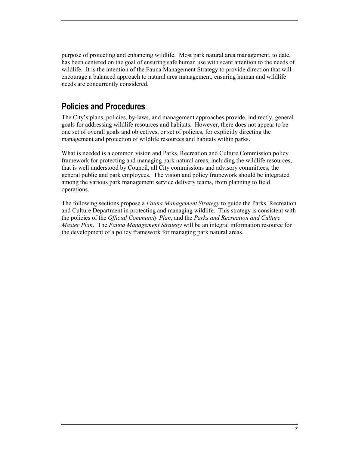<span id="page-6-0"></span>purpose of protecting and enhancing wildlife. Most park natural area management, to date, has been centered on the goal of ensuring safe human use with scant attention to the needs of wildlife. It is the intention of the Fauna Management Strategy to provide direction that will encourage a balanced approach to natural area management, ensuring human and wildlife needs are concurrently considered.

## **Policies and Procedures**

The City's plans, policies, by-laws, and management approaches provide, indirectly, general goals for addressing wildlife resources and habitats. However, there does not appear to be one set of overall goals and objectives, or set of policies, for explicitly directing the management and protection of wildlife resources and habitats within parks.

What is needed is a common vision and Parks, Recreation and Culture Commission policy framework for protecting and managing park natural areas, including the wildlife resources, that is well understood by Council, all City commissions and advisory committees, the general public and park employees. The vision and policy framework should be integrated among the various park management service delivery teams, from planning to field operations.

The following sections propose a *Fauna Management Strategy* to guide the Parks, Recreation and Culture Department in protecting and managing wildlife. This strategy is consistent with the policies of the *Official Community Plan*, and the *Parks and Recreation and Culture Master Plan*. The *Fauna Management Strategy* will be an integral information resource for the development of a policy framework for managing park natural areas.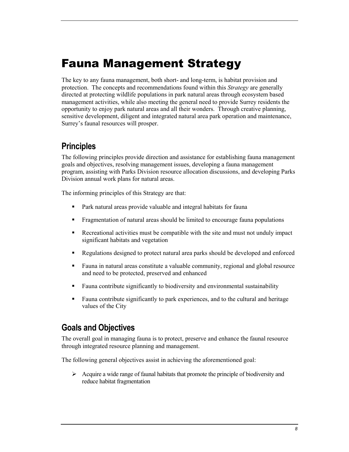# <span id="page-7-0"></span>Fauna Management Strategy

The key to any fauna management, both short- and long-term, is habitat provision and protection. The concepts and recommendations found within this *Strategy* are generally directed at protecting wildlife populations in park natural areas through ecosystem based management activities, while also meeting the general need to provide Surrey residents the opportunity to enjoy park natural areas and all their wonders. Through creative planning, sensitive development, diligent and integrated natural area park operation and maintenance, Surrey's faunal resources will prosper.

## **Principles**

The following principles provide direction and assistance for establishing fauna management goals and objectives, resolving management issues, developing a fauna management program, assisting with Parks Division resource allocation discussions, and developing Parks Division annual work plans for natural areas.

The informing principles of this Strategy are that:

- -Park natural areas provide valuable and integral habitats for fauna
- -Fragmentation of natural areas should be limited to encourage fauna populations
- - Recreational activities must be compatible with the site and must not unduly impact significant habitats and vegetation
- -Regulations designed to protect natural area parks should be developed and enforced
- - Fauna in natural areas constitute a valuable community, regional and global resource and need to be protected, preserved and enhanced
- -Fauna contribute significantly to biodiversity and environmental sustainability
- - Fauna contribute significantly to park experiences, and to the cultural and heritage values of the City

## **Goals and Objectives**

The overall goal in managing fauna is to protect, preserve and enhance the faunal resource through integrated resource planning and management.

The following general objectives assist in achieving the aforementioned goal:

> Acquire a wide range of faunal habitats that promote the principle of biodiversity and reduce habitat fragmentation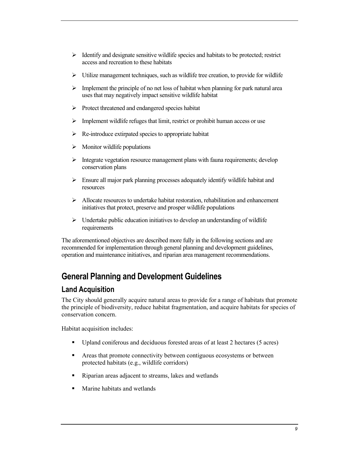- <span id="page-8-0"></span>> Identify and designate sensitive wildlife species and habitats to be protected; restrict access and recreation to these habitats
- > Utilize management techniques, such as wildlife tree creation, to provide for wildlife
- > Implement the principle of no net loss of habitat when planning for park natural area uses that may negatively impact sensitive wildlife habitat
- -Protect threatened and endangered species habitat
- > Implement wildlife refuges that limit, restrict or prohibit human access or use
- -Re-introduce extirpated species to appropriate habitat
- > Monitor wildlife populations
- > Integrate vegetation resource management plans with fauna requirements; develop conservation plans
- -Ensure all major park planning processes adequately identify wildlife habitat and resources
- > Allocate resources to undertake habitat restoration, rehabilitation and enhancement initiatives that protect, preserve and prosper wildlife populations
- > Undertake public education initiatives to develop an understanding of wildlife requirements

The aforementioned objectives are described more fully in the following sections and are recommended for implementation through general planning and development guidelines, operation and maintenance initiatives, and riparian area management recommendations.

## **General Planning and Development Guidelines**

## **Land Acquisition**

The City should generally acquire natural areas to provide for a range of habitats that promote the principle of biodiversity, reduce habitat fragmentation, and acquire habitats for species of conservation concern.

Habitat acquisition includes:

- -Upland coniferous and deciduous forested areas of at least 2 hectares (5 acres)
- - Areas that promote connectivity between contiguous ecosystems or between protected habitats (e.g., wildlife corridors)
- -Riparian areas adjacent to streams, lakes and wetlands
- -Marine habitats and wetlands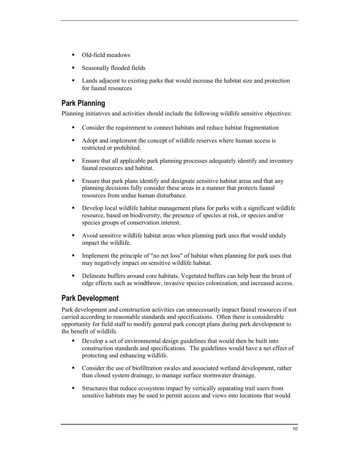- Old-field meadows
- -Seasonally flooded fields
- - Lands adjacent to existing parks that would increase the habitat size and protection for faunal resources

## **Park Planning**

Planning initiatives and activities should include the following wildlife sensitive objectives:

- -Consider the requirement to connect habitats and reduce habitat fragmentation
- - Adopt and implement the concept of wildlife reserves where human access is restricted or prohibited.
- - Ensure that all applicable park planning processes adequately identify and inventory faunal resources and habitat.
- - Ensure that park plans identify and designate sensitive habitat areas and that any planning decisions fully consider these areas in a manner that protects faunal resources from undue human disturbance.
- - Develop local wildlife habitat management plans for parks with a significant wildlife resource, based on biodiversity, the presence of species at risk, or species and/or species groups of conservation interest.
- - Avoid sensitive wildlife habitat areas when planning park uses that would unduly impact the wildlife.
- - Implement the principle of "no net loss" of habitat when planning for park uses that may negatively impact on sensitive wildlife habitat.
- - Delineate buffers around core habitats. Vegetated buffers can help bear the brunt of edge effects such as windthrow, invasive species colonization, and increased access.

## **Park Development**

Park development and construction activities can unnecessarily impact faunal resources if not carried according to reasonable standards and specifications. Often there is considerable opportunity for field staff to modify general park concept plans during park development to the benefit of wildlife.

- - Develop a set of environmental design guidelines that would then be built into construction standards and specifications. The guidelines would have a net effect of protecting and enhancing wildlife.
- - Consider the use of biofiltration swales and associated wetland development, rather than closed system drainage, to manage surface stormwater drainage.
- - Structures that reduce ecosystem impact by vertically separating trail users from sensitive habitats may be used to permit access and views into locations that would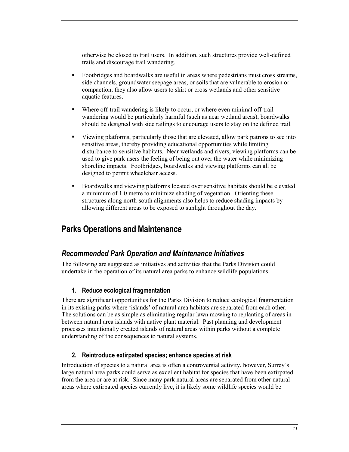<span id="page-10-0"></span>otherwise be closed to trail users. In addition, such structures provide well-defined trails and discourage trail wandering.

- - Footbridges and boardwalks are useful in areas where pedestrians must cross streams, side channels, groundwater seepage areas, or soils that are vulnerable to erosion or compaction; they also allow users to skirt or cross wetlands and other sensitive aquatic features.
- - Where off-trail wandering is likely to occur, or where even minimal off-trail wandering would be particularly harmful (such as near wetland areas), boardwalks should be designed with side railings to encourage users to stay on the defined trail.
- - Viewing platforms, particularly those that are elevated, allow park patrons to see into sensitive areas, thereby providing educational opportunities while limiting disturbance to sensitive habitats. Near wetlands and rivers, viewing platforms can be used to give park users the feeling of being out over the water while minimizing shoreline impacts. Footbridges, boardwalks and viewing platforms can all be designed to permit wheelchair access.
- - Boardwalks and viewing platforms located over sensitive habitats should be elevated a minimum of 1.0 metre to minimize shading of vegetation. Orienting these structures along north-south alignments also helps to reduce shading impacts by allowing different areas to be exposed to sunlight throughout the day.

## **Parks Operations and Maintenance**

#### *Recommended Park Operation and Maintenance Initiatives*

The following are suggested as initiatives and activities that the Parks Division could undertake in the operation of its natural area parks to enhance wildlife populations.

#### **1. Reduce ecological fragmentation**

There are significant opportunities for the Parks Division to reduce ecological fragmentation in its existing parks where 'islands' of natural area habitats are separated from each other. The solutions can be as simple as eliminating regular lawn mowing to replanting of areas in between natural area islands with native plant material. Past planning and development processes intentionally created islands of natural areas within parks without a complete understanding of the consequences to natural systems.

#### **2. Reintroduce extirpated species; enhance species at risk**

Introduction of species to a natural area is often a controversial activity, however, Surrey's large natural area parks could serve as excellent habitat for species that have been extirpated from the area or are at risk. Since many park natural areas are separated from other natural areas where extirpated species currently live, it is likely some wildlife species would be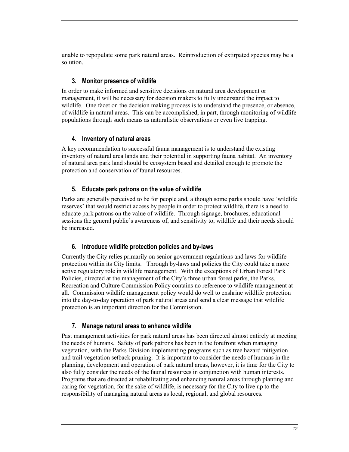unable to repopulate some park natural areas. Reintroduction of extirpated species may be a solution.

#### **3. Monitor presence of wildlife**

In order to make informed and sensitive decisions on natural area development or management, it will be necessary for decision makers to fully understand the impact to wildlife. One facet on the decision making process is to understand the presence, or absence, of wildlife in natural areas. This can be accomplished, in part, through monitoring of wildlife populations through such means as naturalistic observations or even live trapping.

#### **4. Inventory of natural areas**

A key recommendation to successful fauna management is to understand the existing inventory of natural area lands and their potential in supporting fauna habitat. An inventory of natural area park land should be ecosystem based and detailed enough to promote the protection and conservation of faunal resources.

#### **5. Educate park patrons on the value of wildlife**

Parks are generally perceived to be for people and, although some parks should have 'wildlife reserves' that would restrict access by people in order to protect wildlife, there is a need to educate park patrons on the value of wildlife. Through signage, brochures, educational sessions the general public's awareness of, and sensitivity to, wildlife and their needs should be increased.

#### **6. Introduce wildlife protection policies and by-laws**

Currently the City relies primarily on senior government regulations and laws for wildlife protection within its City limits. Through by-laws and policies the City could take a more active regulatory role in wildlife management. With the exceptions of Urban Forest Park Policies, directed at the management of the City's three urban forest parks, the Parks, Recreation and Culture Commission Policy contains no reference to wildlife management at all. Commission wildlife management policy would do well to enshrine wildlife protection into the day-to-day operation of park natural areas and send a clear message that wildlife protection is an important direction for the Commission.

#### **7. Manage natural areas to enhance wildlife**

Past management activities for park natural areas has been directed almost entirely at meeting the needs of humans. Safety of park patrons has been in the forefront when managing vegetation, with the Parks Division implementing programs such as tree hazard mitigation and trail vegetation setback pruning. It is important to consider the needs of humans in the planning, development and operation of park natural areas, however, it is time for the City to also fully consider the needs of the faunal resources in conjunction with human interests. Programs that are directed at rehabilitating and enhancing natural areas through planting and caring for vegetation, for the sake of wildlife, is necessary for the City to live up to the responsibility of managing natural areas as local, regional, and global resources.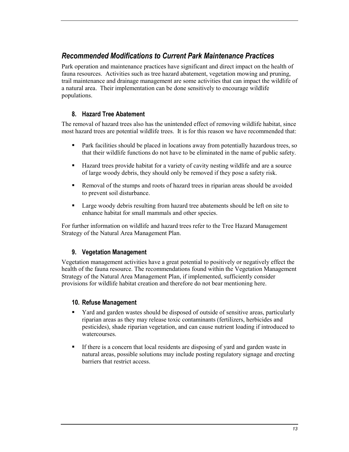## *Recommended Modifications to Current Park Maintenance Practices*

Park operation and maintenance practices have significant and direct impact on the health of fauna resources. Activities such as tree hazard abatement, vegetation mowing and pruning, trail maintenance and drainage management are some activities that can impact the wildlife of a natural area. Their implementation can be done sensitively to encourage wildlife populations.

#### **8. Hazard Tree Abatement**

The removal of hazard trees also has the unintended effect of removing wildlife habitat, since most hazard trees are potential wildlife trees. It is for this reason we have recommended that:

- - Park facilities should be placed in locations away from potentially hazardous trees, so that their wildlife functions do not have to be eliminated in the name of public safety.
- - Hazard trees provide habitat for a variety of cavity nesting wildlife and are a source of large woody debris, they should only be removed if they pose a safety risk.
- - Removal of the stumps and roots of hazard trees in riparian areas should be avoided to prevent soil disturbance.
- - Large woody debris resulting from hazard tree abatements should be left on site to enhance habitat for small mammals and other species.

For further information on wildlife and hazard trees refer to the Tree Hazard Management Strategy of the Natural Area Management Plan.

#### **9. Vegetation Management**

Vegetation management activities have a great potential to positively or negatively effect the health of the fauna resource. The recommendations found within the Vegetation Management Strategy of the Natural Area Management Plan, if implemented, sufficiently consider provisions for wildlife habitat creation and therefore do not bear mentioning here.

#### **10. Refuse Management**

- - Yard and garden wastes should be disposed of outside of sensitive areas, particularly riparian areas as they may release toxic contaminants (fertilizers, herbicides and pesticides), shade riparian vegetation, and can cause nutrient loading if introduced to watercourses.
- - If there is a concern that local residents are disposing of yard and garden waste in natural areas, possible solutions may include posting regulatory signage and erecting barriers that restrict access.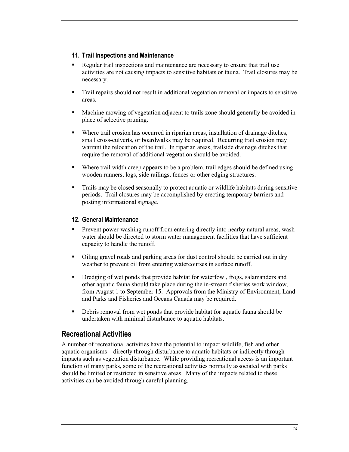#### **11. Trail Inspections and Maintenance**

- - Regular trail inspections and maintenance are necessary to ensure that trail use activities are not causing impacts to sensitive habitats or fauna. Trail closures may be necessary.
- - Trail repairs should not result in additional vegetation removal or impacts to sensitive areas.
- - Machine mowing of vegetation adjacent to trails zone should generally be avoided in place of selective pruning.
- - Where trail erosion has occurred in riparian areas, installation of drainage ditches, small cross-culverts, or boardwalks may be required. Recurring trail erosion may warrant the relocation of the trail. In riparian areas, trailside drainage ditches that require the removal of additional vegetation should be avoided.
- - Where trail width creep appears to be a problem, trail edges should be defined using wooden runners, logs, side railings, fences or other edging structures.
- - Trails may be closed seasonally to protect aquatic or wildlife habitats during sensitive periods. Trail closures may be accomplished by erecting temporary barriers and posting informational signage.

#### **12. General Maintenance**

- - Prevent power-washing runoff from entering directly into nearby natural areas, wash water should be directed to storm water management facilities that have sufficient capacity to handle the runoff.
- - Oiling gravel roads and parking areas for dust control should be carried out in dry weather to prevent oil from entering watercourses in surface runoff.
- - Dredging of wet ponds that provide habitat for waterfowl, frogs, salamanders and other aquatic fauna should take place during the in-stream fisheries work window, from August 1 to September 15. Approvals from the Ministry of Environment, Land and Parks and Fisheries and Oceans Canada may be required.
- - Debris removal from wet ponds that provide habitat for aquatic fauna should be undertaken with minimal disturbance to aquatic habitats.

## **Recreational Activities**

A number of recreational activities have the potential to impact wildlife, fish and other aquatic organisms—directly through disturbance to aquatic habitats or indirectly through impacts such as vegetation disturbance. While providing recreational access is an important function of many parks, some of the recreational activities normally associated with parks should be limited or restricted in sensitive areas. Many of the impacts related to these activities can be avoided through careful planning.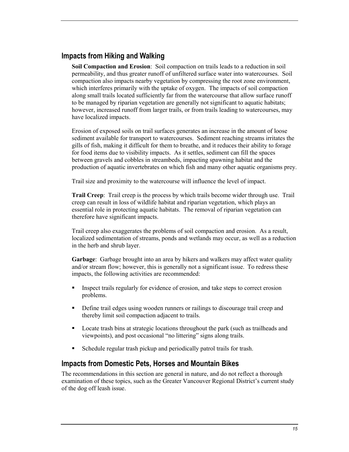## **Impacts from Hiking and Walking**

**Soil Compaction and Erosion**: Soil compaction on trails leads to a reduction in soil permeability, and thus greater runoff of unfiltered surface water into watercourses. Soil compaction also impacts nearby vegetation by compressing the root zone environment, which interferes primarily with the uptake of oxygen. The impacts of soil compaction along small trails located sufficiently far from the watercourse that allow surface runoff to be managed by riparian vegetation are generally not significant to aquatic habitats; however, increased runoff from larger trails, or from trails leading to watercourses, may have localized impacts.

Erosion of exposed soils on trail surfaces generates an increase in the amount of loose sediment available for transport to watercourses. Sediment reaching streams irritates the gills of fish, making it difficult for them to breathe, and it reduces their ability to forage for food items due to visibility impacts. As it settles, sediment can fill the spaces between gravels and cobbles in streambeds, impacting spawning habitat and the production of aquatic invertebrates on which fish and many other aquatic organisms prey.

Trail size and proximity to the watercourse will influence the level of impact.

**Trail Creep**: Trail creep is the process by which trails become wider through use. Trail creep can result in loss of wildlife habitat and riparian vegetation, which plays an essential role in protecting aquatic habitats. The removal of riparian vegetation can therefore have significant impacts.

Trail creep also exaggerates the problems of soil compaction and erosion. As a result, localized sedimentation of streams, ponds and wetlands may occur, as well as a reduction in the herb and shrub layer.

**Garbage**: Garbage brought into an area by hikers and walkers may affect water quality and/or stream flow; however, this is generally not a significant issue. To redress these impacts, the following activities are recommended:

- - Inspect trails regularly for evidence of erosion, and take steps to correct erosion problems.
- - Define trail edges using wooden runners or railings to discourage trail creep and thereby limit soil compaction adjacent to trails.
- - Locate trash bins at strategic locations throughout the park (such as trailheads and viewpoints), and post occasional "no littering" signs along trails.
- -Schedule regular trash pickup and periodically patrol trails for trash.

#### **Impacts from Domestic Pets, Horses and Mountain Bikes**

The recommendations in this section are general in nature, and do not reflect a thorough examination of these topics, such as the Greater Vancouver Regional District's current study of the dog off leash issue.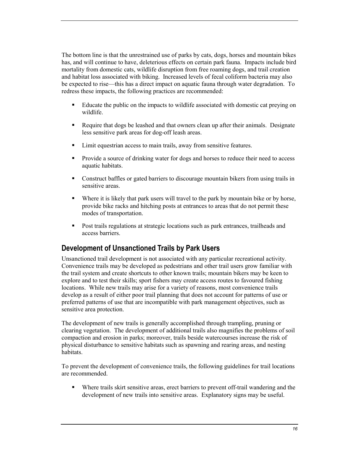The bottom line is that the unrestrained use of parks by cats, dogs, horses and mountain bikes has, and will continue to have, deleterious effects on certain park fauna. Impacts include bird mortality from domestic cats, wildlife disruption from free roaming dogs, and trail creation and habitat loss associated with biking. Increased levels of fecal coliform bacteria may also be expected to rise—this has a direct impact on aquatic fauna through water degradation. To redress these impacts, the following practices are recommended:

- - Educate the public on the impacts to wildlife associated with domestic cat preying on wildlife.
- - Require that dogs be leashed and that owners clean up after their animals. Designate less sensitive park areas for dog-off leash areas.
- Limit equestrian access to main trails, away from sensitive features.
- - Provide a source of drinking water for dogs and horses to reduce their need to access aquatic habitats.
- - Construct baffles or gated barriers to discourage mountain bikers from using trails in sensitive areas.
- - Where it is likely that park users will travel to the park by mountain bike or by horse, provide bike racks and hitching posts at entrances to areas that do not permit these modes of transportation.
- - Post trails regulations at strategic locations such as park entrances, trailheads and access barriers.

## **Development of Unsanctioned Trails by Park Users**

Unsanctioned trail development is not associated with any particular recreational activity. Convenience trails may be developed as pedestrians and other trail users grow familiar with the trail system and create shortcuts to other known trails; mountain bikers may be keen to explore and to test their skills; sport fishers may create access routes to favoured fishing locations. While new trails may arise for a variety of reasons, most convenience trails develop as a result of either poor trail planning that does not account for patterns of use or preferred patterns of use that are incompatible with park management objectives, such as sensitive area protection.

The development of new trails is generally accomplished through trampling, pruning or clearing vegetation. The development of additional trails also magnifies the problems of soil compaction and erosion in parks; moreover, trails beside watercourses increase the risk of physical disturbance to sensitive habitats such as spawning and rearing areas, and nesting habitats.

To prevent the development of convenience trails, the following guidelines for trail locations are recommended.

- Where trails skirt sensitive areas, erect barriers to prevent off-trail wandering and the development of new trails into sensitive areas. Explanatory signs may be useful.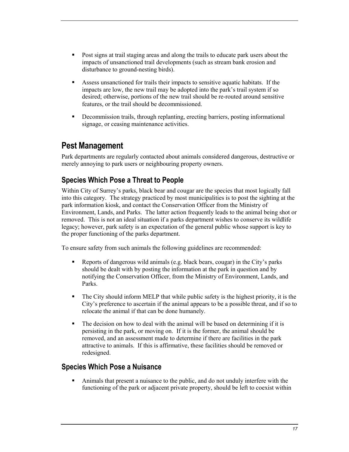- <span id="page-16-0"></span>- Post signs at trail staging areas and along the trails to educate park users about the impacts of unsanctioned trail developments (such as stream bank erosion and disturbance to ground-nesting birds).
- - Assess unsanctioned for trails their impacts to sensitive aquatic habitats. If the impacts are low, the new trail may be adopted into the park's trail system if so desired; otherwise, portions of the new trail should be re-routed around sensitive features, or the trail should be decommissioned.
- - Decommission trails, through replanting, erecting barriers, posting informational signage, or ceasing maintenance activities.

## **Pest Management**

Park departments are regularly contacted about animals considered dangerous, destructive or merely annoying to park users or neighbouring property owners.

## **Species Which Pose a Threat to People**

Within City of Surrey's parks, black bear and cougar are the species that most logically fall into this category. The strategy practiced by most municipalities is to post the sighting at the park information kiosk, and contact the Conservation Officer from the Ministry of Environment, Lands, and Parks. The latter action frequently leads to the animal being shot or removed. This is not an ideal situation if a parks department wishes to conserve its wildlife legacy; however, park safety is an expectation of the general public whose support is key to the proper functioning of the parks department.

To ensure safety from such animals the following guidelines are recommended:

- - Reports of dangerous wild animals (e.g. black bears, cougar) in the City's parks should be dealt with by posting the information at the park in question and by notifying the Conservation Officer, from the Ministry of Environment, Lands, and Parks.
- - The City should inform MELP that while public safety is the highest priority, it is the City's preference to ascertain if the animal appears to be a possible threat, and if so to relocate the animal if that can be done humanely.
- - The decision on how to deal with the animal will be based on determining if it is persisting in the park, or moving on. If it is the former, the animal should be removed, and an assessment made to determine if there are facilities in the park attractive to animals. If this is affirmative, these facilities should be removed or redesigned.

## **Species Which Pose a Nuisance**

- Animals that present a nuisance to the public, and do not unduly interfere with the functioning of the park or adjacent private property, should be left to coexist within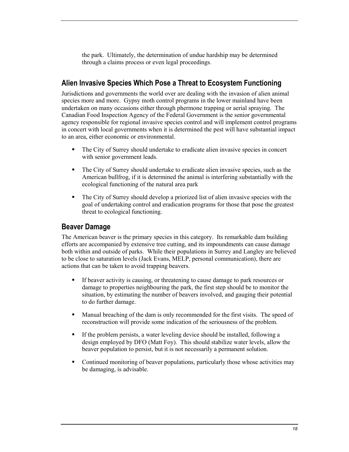the park. Ultimately, the determination of undue hardship may be determined through a claims process or even legal proceedings.

## **Alien Invasive Species Which Pose a Threat to Ecosystem Functioning**

Jurisdictions and governments the world over are dealing with the invasion of alien animal species more and more. Gypsy moth control programs in the lower mainland have been undertaken on many occasions either through phermone trapping or aerial spraying. The Canadian Food Inspection Agency of the Federal Government is the senior governmental agency responsible for regional invasive species control and will implement control programs in concert with local governments when it is determined the pest will have substantial impact to an area, either economic or environmental.

- - The City of Surrey should undertake to eradicate alien invasive species in concert with senior government leads.
- - The City of Surrey should undertake to eradicate alien invasive species, such as the American bullfrog, if it is determined the animal is interfering substantially with the ecological functioning of the natural area park
- - The City of Surrey should develop a priorized list of alien invasive species with the goal of undertaking control and eradication programs for those that pose the greatest threat to ecological functioning.

#### **Beaver Damage**

The American beaver is the primary species in this category. Its remarkable dam building efforts are accompanied by extensive tree cutting, and its impoundments can cause damage both within and outside of parks. While their populations in Surrey and Langley are believed to be close to saturation levels (Jack Evans, MELP, personal communication), there are actions that can be taken to avoid trapping beavers.

- - If beaver activity is causing, or threatening to cause damage to park resources or damage to properties neighbouring the park, the first step should be to monitor the situation, by estimating the number of beavers involved, and gauging their potential to do further damage.
- - Manual breaching of the dam is only recommended for the first visits. The speed of reconstruction will provide some indication of the seriousness of the problem.
- - If the problem persists, a water leveling device should be installed, following a design employed by DFO (Matt Foy). This should stabilize water levels, allow the beaver population to persist, but it is not necessarily a permanent solution.
- - Continued monitoring of beaver populations, particularly those whose activities may be damaging, is advisable.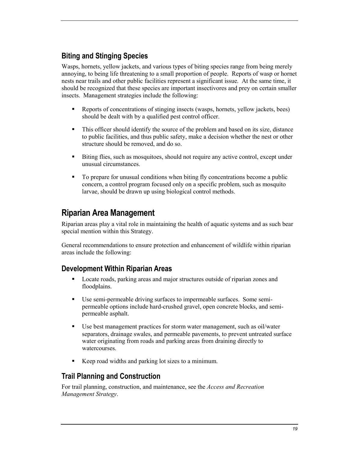## <span id="page-18-0"></span>**Biting and Stinging Species**

Wasps, hornets, yellow jackets, and various types of biting species range from being merely annoying, to being life threatening to a small proportion of people. Reports of wasp or hornet nests near trails and other public facilities represent a significant issue. At the same time, it should be recognized that these species are important insectivores and prey on certain smaller insects. Management strategies include the following:

- - Reports of concentrations of stinging insects (wasps, hornets, yellow jackets, bees) should be dealt with by a qualified pest control officer.
- - This officer should identify the source of the problem and based on its size, distance to public facilities, and thus public safety, make a decision whether the nest or other structure should be removed, and do so.
- - Biting flies, such as mosquitoes, should not require any active control, except under unusual circumstances.
- - To prepare for unusual conditions when biting fly concentrations become a public concern, a control program focused only on a specific problem, such as mosquito larvae, should be drawn up using biological control methods.

## **Riparian Area Management**

Riparian areas play a vital role in maintaining the health of aquatic systems and as such bear special mention within this Strategy.

General recommendations to ensure protection and enhancement of wildlife within riparian areas include the following:

## **Development Within Riparian Areas**

- - Locate roads, parking areas and major structures outside of riparian zones and floodplains.
- - Use semi-permeable driving surfaces to impermeable surfaces. Some semipermeable options include hard-crushed gravel, open concrete blocks, and semipermeable asphalt.
- - Use best management practices for storm water management, such as oil/water separators, drainage swales, and permeable pavements, to prevent untreated surface water originating from roads and parking areas from draining directly to watercourses.
- -Keep road widths and parking lot sizes to a minimum.

## **Trail Planning and Construction**

For trail planning, construction, and maintenance, see the *Access and Recreation Management Strategy*.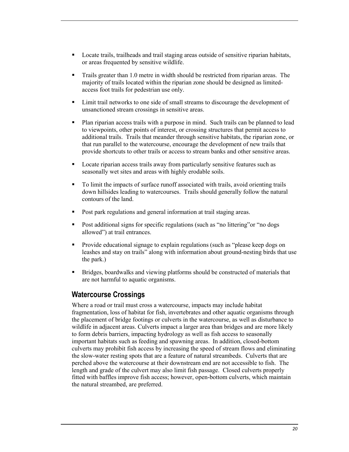- **•** Locate trails, trailheads and trail staging areas outside of sensitive riparian habitats, or areas frequented by sensitive wildlife.
- - Trails greater than 1.0 metre in width should be restricted from riparian areas. The majority of trails located within the riparian zone should be designed as limitedaccess foot trails for pedestrian use only.
- - Limit trail networks to one side of small streams to discourage the development of unsanctioned stream crossings in sensitive areas.
- - Plan riparian access trails with a purpose in mind. Such trails can be planned to lead to viewpoints, other points of interest, or crossing structures that permit access to additional trails. Trails that meander through sensitive habitats, the riparian zone, or that run parallel to the watercourse, encourage the development of new trails that provide shortcuts to other trails or access to stream banks and other sensitive areas.
- - Locate riparian access trails away from particularly sensitive features such as seasonally wet sites and areas with highly erodable soils.
- - To limit the impacts of surface runoff associated with trails, avoid orienting trails down hillsides leading to watercourses. Trails should generally follow the natural contours of the land.
- -Post park regulations and general information at trail staging areas.
- - Post additional signs for specific regulations (such as "no littering"or "no dogs allowed") at trail entrances.
- - Provide educational signage to explain regulations (such as "please keep dogs on leashes and stay on trails" along with information about ground-nesting birds that use the park.)
- - Bridges, boardwalks and viewing platforms should be constructed of materials that are not harmful to aquatic organisms.

## **Watercourse Crossings**

Where a road or trail must cross a watercourse, impacts may include habitat fragmentation, loss of habitat for fish, invertebrates and other aquatic organisms through the placement of bridge footings or culverts in the watercourse, as well as disturbance to wildlife in adjacent areas. Culverts impact a larger area than bridges and are more likely to form debris barriers, impacting hydrology as well as fish access to seasonally important habitats such as feeding and spawning areas. In addition, closed-bottom culverts may prohibit fish access by increasing the speed of stream flows and eliminating the slow-water resting spots that are a feature of natural streambeds. Culverts that are perched above the watercourse at their downstream end are not accessible to fish. The length and grade of the culvert may also limit fish passage. Closed culverts properly fitted with baffles improve fish access; however, open-bottom culverts, which maintain the natural streambed, are preferred.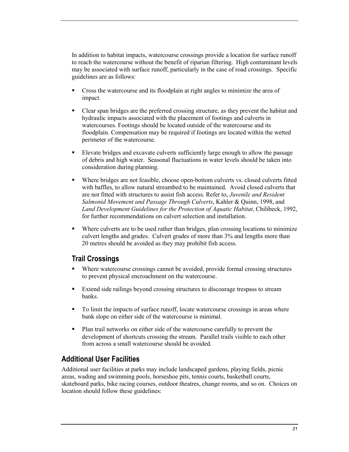In addition to habitat impacts, watercourse crossings provide a location for surface runoff to reach the watercourse without the benefit of riparian filtering. High contaminant levels may be associated with surface runoff, particularly in the case of road crossings. Specific guidelines are as follows:

- - Cross the watercourse and its floodplain at right angles to minimize the area of impact.
- - Clear span bridges are the preferred crossing structure, as they prevent the habitat and hydraulic impacts associated with the placement of footings and culverts in watercourses. Footings should be located outside of the watercourse and its floodplain. Compensation may be required if footings are located within the wetted perimeter of the watercourse.
- - Elevate bridges and excavate culverts sufficiently large enough to allow the passage of debris and high water. Seasonal fluctuations in water levels should be taken into consideration during planning.
- -Where bridges are not feasible, choose open-bottom culverts vs. closed culverts fitted with baffles, to allow natural streambed to be maintained. Avoid closed culverts that are not fitted with structures to assist fish access. Refer to, *Juvenile and Resident Salmonid Movement and Passage Through Culverts*, Kahler & Quinn, 1998, and *Land Development Guidelines for the Protection of Aquatic Habitat*, Chilibeck, 1992, for further recommendations on culvert selection and installation.
- - Where culverts are to be used rather than bridges, plan crossing locations to minimize culvert lengths and grades. Culvert grades of more than 3% and lengths more than 20 metres should be avoided as they may prohibit fish access.

## **Trail Crossings**

- - Where watercourse crossings cannot be avoided, provide formal crossing structures to prevent physical encroachment on the watercourse.
- - Extend side railings beyond crossing structures to discourage trespass to stream banks.
- - To limit the impacts of surface runoff, locate watercourse crossings in areas where bank slope on either side of the watercourse is minimal.
- - Plan trail networks on either side of the watercourse carefully to prevent the development of shortcuts crossing the stream. Parallel trails visible to each other from across a small watercourse should be avoided.

## **Additional User Facilities**

Additional user facilities at parks may include landscaped gardens, playing fields, picnic areas, wading and swimming pools, horseshoe pits, tennis courts, basketball courts, skateboard parks, bike racing courses, outdoor theatres, change rooms, and so on. Choices on location should follow these guidelines: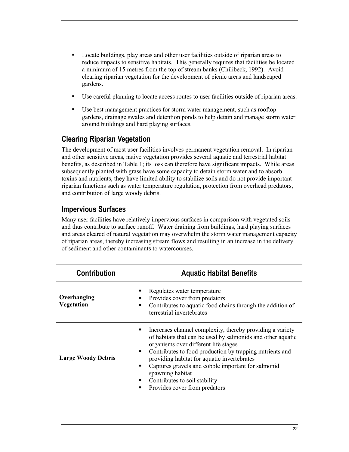- - Locate buildings, play areas and other user facilities outside of riparian areas to reduce impacts to sensitive habitats. This generally requires that facilities be located a minimum of 15 metres from the top of stream banks (Chilibeck, 1992). Avoid clearing riparian vegetation for the development of picnic areas and landscaped gardens.
- Use careful planning to locate access routes to user facilities outside of riparian areas.
- - Use best management practices for storm water management, such as rooftop gardens, drainage swales and detention ponds to help detain and manage storm water around buildings and hard playing surfaces.

## **Clearing Riparian Vegetation**

The development of most user facilities involves permanent vegetation removal. In riparian and other sensitive areas, native vegetation provides several aquatic and terrestrial habitat benefits, as described in Table 1; its loss can therefore have significant impacts. While areas subsequently planted with grass have some capacity to detain storm water and to absorb toxins and nutrients, they have limited ability to stabilize soils and do not provide important riparian functions such as water temperature regulation, protection from overhead predators, and contribution of large woody debris.

## **Impervious Surfaces**

Many user facilities have relatively impervious surfaces in comparison with vegetated soils and thus contribute to surface runoff. Water draining from buildings, hard playing surfaces and areas cleared of natural vegetation may overwhelm the storm water management capacity of riparian areas, thereby increasing stream flows and resulting in an increase in the delivery of sediment and other contaminants to watercourses.

| Regulates water temperature<br>Overhanging<br>Provides cover from predators<br>٠<br>Vegetation<br>Contributes to aquatic food chains through the addition of<br>$\blacksquare$<br>terrestrial invertebrates<br>Increases channel complexity, thereby providing a variety<br>п<br>of habitats that can be used by salmonids and other aquatic<br>organisms over different life stages<br>Contributes to food production by trapping nutrients and<br>٠<br><b>Large Woody Debris</b><br>providing habitat for aquatic invertebrates<br>Captures gravels and cobble important for salmonid<br>٠<br>spawning habitat |  |
|------------------------------------------------------------------------------------------------------------------------------------------------------------------------------------------------------------------------------------------------------------------------------------------------------------------------------------------------------------------------------------------------------------------------------------------------------------------------------------------------------------------------------------------------------------------------------------------------------------------|--|
|                                                                                                                                                                                                                                                                                                                                                                                                                                                                                                                                                                                                                  |  |
| Contributes to soil stability<br>٠<br>Provides cover from predators<br>п                                                                                                                                                                                                                                                                                                                                                                                                                                                                                                                                         |  |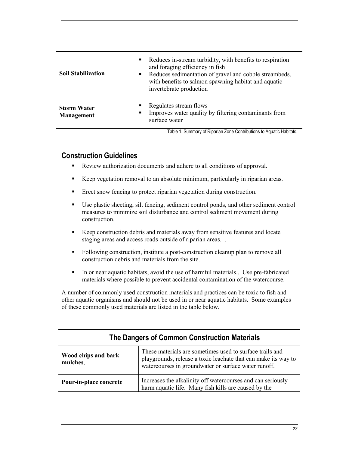| $\blacksquare$<br><b>Soil Stabilization</b><br>$\blacksquare$ | Reduces in-stream turbidity, with benefits to respiration<br>and foraging efficiency in fish<br>Reduces sedimentation of gravel and cobble streambeds,<br>with benefits to salmon spawning habitat and aquatic<br>invertebrate production |
|---------------------------------------------------------------|-------------------------------------------------------------------------------------------------------------------------------------------------------------------------------------------------------------------------------------------|
| ٠<br><b>Storm Water</b><br>٠<br><b>Management</b>             | Regulates stream flows<br>Improves water quality by filtering contaminants from<br>surface water                                                                                                                                          |

Table 1. Summary of Riparian Zone Contributions to Aquatic Habitats.

## **Construction Guidelines**

- -Review authorization documents and adhere to all conditions of approval.
- -Keep vegetation removal to an absolute minimum, particularly in riparian areas.
- **Exect snow fencing to protect riparian vegetation during construction.**
- - Use plastic sheeting, silt fencing, sediment control ponds, and other sediment control measures to minimize soil disturbance and control sediment movement during construction.
- - Keep construction debris and materials away from sensitive features and locate staging areas and access roads outside of riparian areas. .
- - Following construction, institute a post-construction cleanup plan to remove all construction debris and materials from the site.
- - In or near aquatic habitats, avoid the use of harmful materials.. Use pre-fabricated materials where possible to prevent accidental contamination of the watercourse.

A number of commonly used construction materials and practices can be toxic to fish and other aquatic organisms and should not be used in or near aquatic habitats. Some examples of these commonly used materials are listed in the table below.

| Wood chips and bark    | These materials are sometimes used to surface trails and                                                               |
|------------------------|------------------------------------------------------------------------------------------------------------------------|
| mulches,               | playgrounds, release a toxic leachate that can make its way to<br>watercourses in groundwater or surface water runoff. |
| Pour-in-place concrete | Increases the alkalinity off watercourses and can seriously<br>harm aquatic life. Many fish kills are caused by the    |

#### **The Dangers of Common Construction Materials**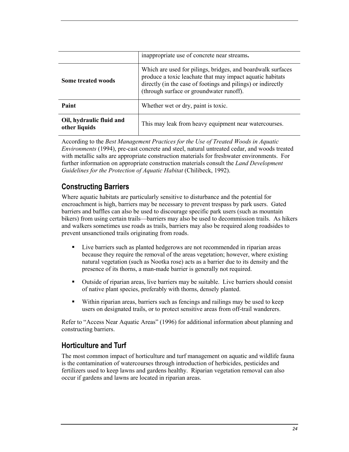|                                           | inappropriate use of concrete near streams.                                                                                                                                                                                          |
|-------------------------------------------|--------------------------------------------------------------------------------------------------------------------------------------------------------------------------------------------------------------------------------------|
| Some treated woods                        | Which are used for pilings, bridges, and boardwalk surfaces<br>produce a toxic leachate that may impact aquatic habitats<br>directly (in the case of footings and pilings) or indirectly<br>(through surface or groundwater runoff). |
| Paint                                     | Whether wet or dry, paint is toxic.                                                                                                                                                                                                  |
| Oil, hydraulic fluid and<br>other liquids | This may leak from heavy equipment near watercourses.                                                                                                                                                                                |

According to the *Best Management Practices for the Use of Treated Woods in Aquatic Environments* (1994), pre-cast concrete and steel, natural untreated cedar, and woods treated with metallic salts are appropriate construction materials for freshwater environments. For further information on appropriate construction materials consult the *Land Development Guidelines for the Protection of Aquatic Habitat* (Chilibeck, 1992).

## **Constructing Barriers**

Where aquatic habitats are particularly sensitive to disturbance and the potential for encroachment is high, barriers may be necessary to prevent trespass by park users. Gated barriers and baffles can also be used to discourage specific park users (such as mountain bikers) from using certain trails—barriers may also be used to decommission trails. As hikers and walkers sometimes use roads as trails, barriers may also be required along roadsides to prevent unsanctioned trails originating from roads.

- - Live barriers such as planted hedgerows are not recommended in riparian areas because they require the removal of the areas vegetation; however, where existing natural vegetation (such as Nootka rose) acts as a barrier due to its density and the presence of its thorns, a man-made barrier is generally not required.
- - Outside of riparian areas, live barriers may be suitable. Live barriers should consist of native plant species, preferably with thorns, densely planted.
- - Within riparian areas, barriers such as fencings and railings may be used to keep users on designated trails, or to protect sensitive areas from off-trail wanderers.

Refer to "Access Near Aquatic Areas" (1996) for additional information about planning and constructing barriers.

## **Horticulture and Turf**

The most common impact of horticulture and turf management on aquatic and wildlife fauna is the contamination of watercourses through introduction of herbicides, pesticides and fertilizers used to keep lawns and gardens healthy. Riparian vegetation removal can also occur if gardens and lawns are located in riparian areas.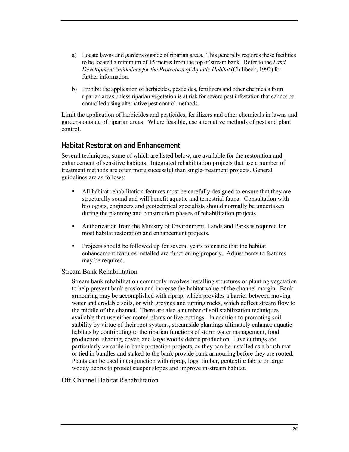- a) Locate lawns and gardens outside of riparian areas. This generally requires these facilities to be located a minimum of 15 metres from the top of stream bank. Refer to the *Land Development Guidelines for the Protection of Aquatic Habitat* (Chilibeck, 1992) for further information.
- b) Prohibit the application of herbicides, pesticides, fertilizers and other chemicals from riparian areas unless riparian vegetation is at risk for severe pest infestation that cannot be controlled using alternative pest control methods.

Limit the application of herbicides and pesticides, fertilizers and other chemicals in lawns and gardens outside of riparian areas. Where feasible, use alternative methods of pest and plant control.

## **Habitat Restoration and Enhancement**

Several techniques, some of which are listed below, are available for the restoration and enhancement of sensitive habitats. Integrated rehabilitation projects that use a number of treatment methods are often more successful than single-treatment projects. General guidelines are as follows:

- - All habitat rehabilitation features must be carefully designed to ensure that they are structurally sound and will benefit aquatic and terrestrial fauna. Consultation with biologists, engineers and geotechnical specialists should normally be undertaken during the planning and construction phases of rehabilitation projects.
- - Authorization from the Ministry of Environment, Lands and Parks is required for most habitat restoration and enhancement projects.
- - Projects should be followed up for several years to ensure that the habitat enhancement features installed are functioning properly. Adjustments to features may be required.

#### Stream Bank Rehabilitation

Stream bank rehabilitation commonly involves installing structures or planting vegetation to help prevent bank erosion and increase the habitat value of the channel margin. Bank armouring may be accomplished with riprap, which provides a barrier between moving water and erodable soils, or with groynes and turning rocks, which deflect stream flow to the middle of the channel. There are also a number of soil stabilization techniques available that use either rooted plants or live cuttings. In addition to promoting soil stability by virtue of their root systems, streamside plantings ultimately enhance aquatic habitats by contributing to the riparian functions of storm water management, food production, shading, cover, and large woody debris production. Live cuttings are particularly versatile in bank protection projects, as they can be installed as a brush mat or tied in bundles and staked to the bank provide bank armouring before they are rooted. Plants can be used in conjunction with riprap, logs, timber, geotextile fabric or large woody debris to protect steeper slopes and improve in-stream habitat.

#### Off-Channel Habitat Rehabilitation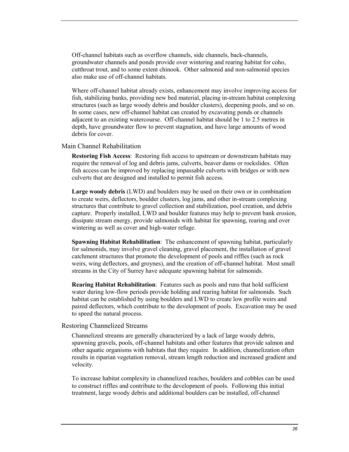Off-channel habitats such as overflow channels, side channels, back-channels, groundwater channels and ponds provide over wintering and rearing habitat for coho, cutthroat trout, and to some extent chinook. Other salmonid and non-salmonid species also make use of off-channel habitats.

Where off-channel habitat already exists, enhancement may involve improving access for fish, stabilizing banks, providing new bed material, placing in-stream habitat complexing structures (such as large woody debris and boulder clusters), deepening pools, and so on. In some cases, new off-channel habitat can created by excavating ponds or channels adjacent to an existing watercourse. Off-channel habitat should be 1 to 2.5 metres in depth, have groundwater flow to prevent stagnation, and have large amounts of wood debris for cover.

#### Main Channel Rehabilitation

**Restoring Fish Access**: Restoring fish access to upstream or downstream habitats may require the removal of log and debris jams, culverts, beaver dams or rockslides. Often fish access can be improved by replacing impassable culverts with bridges or with new culverts that are designed and installed to permit fish access.

**Large woody debris** (LWD) and boulders may be used on their own or in combination to create weirs, deflectors, boulder clusters, log jams, and other in-stream complexing structures that contribute to gravel collection and stabilization, pool creation, and debris capture. Properly installed, LWD and boulder features may help to prevent bank erosion, dissipate stream energy, provide salmonids with habitat for spawning, rearing and over wintering as well as cover and high-water refuge.

**Spawning Habitat Rehabilitation**: The enhancement of spawning habitat, particularly for salmonids, may involve gravel cleaning, gravel placement, the installation of gravel catchment structures that promote the development of pools and riffles (such as rock weirs, wing deflectors, and groynes), and the creation of off-channel habitat. Most small streams in the City of Surrey have adequate spawning habitat for salmonids.

**Rearing Habitat Rehabilitation**: Features such as pools and runs that hold sufficient water during low-flow periods provide holding and rearing habitat for salmonids. Such habitat can be established by using boulders and LWD to create low profile weirs and paired deflectors, which contribute to the development of pools. Excavation may be used to speed the natural process.

#### Restoring Channelized Streams

Channelized streams are generally characterized by a lack of large woody debris, spawning gravels, pools, off-channel habitats and other features that provide salmon and other aquatic organisms with habitats that they require. In addition, channelization often results in riparian vegetation removal, stream length reduction and increased gradient and velocity.

To increase habitat complexity in channelized reaches, boulders and cobbles can be used to construct riffles and contribute to the development of pools. Following this initial treatment, large woody debris and additional boulders can be installed, off-channel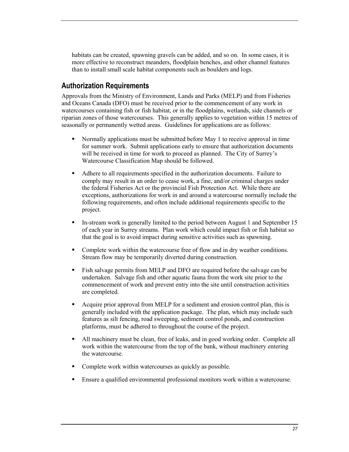habitats can be created, spawning gravels can be added, and so on. In some cases, it is more effective to reconstruct meanders, floodplain benches, and other channel features than to install small scale habitat components such as boulders and logs.

#### **Authorization Requirements**

Approvals from the Ministry of Environment, Lands and Parks (MELP) and from Fisheries and Oceans Canada (DFO) must be received prior to the commencement of any work in watercourses containing fish or fish habitat, or in the floodplains, wetlands, side channels or riparian zones of those watercourses. This generally applies to vegetation within 15 metres of seasonally or permanently wetted areas. Guidelines for applications are as follows:

- - Normally applications must be submitted before May 1 to receive approval in time for summer work. Submit applications early to ensure that authorization documents will be received in time for work to proceed as planned. The City of Surrey's Watercourse Classification Map should be followed.
- - Adhere to all requirements specified in the authorization documents. Failure to comply may result in an order to cease work, a fine, and/or criminal charges under the federal Fisheries Act or the provincial Fish Protection Act. While there are exceptions, authorizations for work in and around a watercourse normally include the following requirements, and often include additional requirements specific to the project.
- - In-stream work is generally limited to the period between August 1 and September 15 of each year in Surrey streams. Plan work which could impact fish or fish habitat so that the goal is to avoid impact during sensitive activities such as spawning.
- - Complete work within the watercourse free of flow and in dry weather conditions. Stream flow may be temporarily diverted during construction.
- - Fish salvage permits from MELP and DFO are required before the salvage can be undertaken. Salvage fish and other aquatic fauna from the work site prior to the commencement of work and prevent entry into the site until construction activities are completed.
- - Acquire prior approval from MELP for a sediment and erosion control plan, this is generally included with the application package. The plan, which may include such features as silt fencing, road sweeping, sediment control ponds, and construction platforms, must be adhered to throughout the course of the project.
- - All machinery must be clean, free of leaks, and in good working order. Complete all work within the watercourse from the top of the bank, without machinery entering the watercourse.
- -Complete work within watercourses as quickly as possible.
- Ensure a qualified environmental professional monitors work within a watercourse.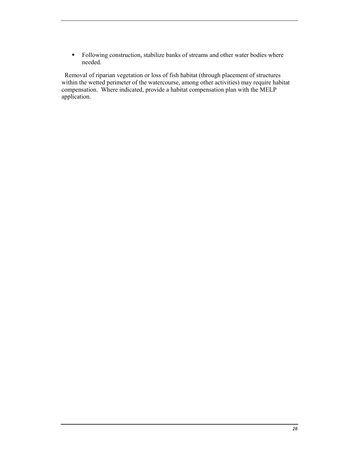- Following construction, stabilize banks of streams and other water bodies where needed.

 Removal of riparian vegetation or loss of fish habitat (through placement of structures within the wetted perimeter of the watercourse, among other activities) may require habitat compensation. Where indicated, provide a habitat compensation plan with the MELP application.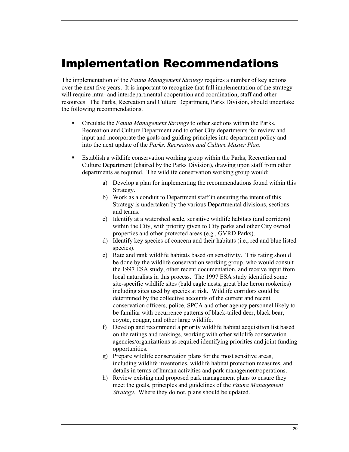# <span id="page-28-0"></span>Implementation Recommendations

The implementation of the *Fauna Management Strategy* requires a number of key actions over the next five years. It is important to recognize that full implementation of the strategy will require intra- and interdepartmental cooperation and coordination, staff and other resources. The Parks, Recreation and Culture Department, Parks Division, should undertake the following recommendations.

- - Circulate the *Fauna Management Strategy* to other sections within the Parks, Recreation and Culture Department and to other City departments for review and input and incorporate the goals and guiding principles into department policy and into the next update of the *Parks, Recreation and Culture Master Plan*.
- - Establish a wildlife conservation working group within the Parks, Recreation and Culture Department (chaired by the Parks Division), drawing upon staff from other departments as required. The wildlife conservation working group would:
	- a) Develop a plan for implementing the recommendations found within this Strategy.
	- b) Work as a conduit to Department staff in ensuring the intent of this Strategy is undertaken by the various Departmental divisions, sections and teams.
	- c) Identify at a watershed scale, sensitive wildlife habitats (and corridors) within the City, with priority given to City parks and other City owned properties and other protected areas (e.g., GVRD Parks).
	- d) Identify key species of concern and their habitats (i.e., red and blue listed species).
	- e) Rate and rank wildlife habitats based on sensitivity. This rating should be done by the wildlife conservation working group, who would consult the 1997 ESA study, other recent documentation, and receive input from local naturalists in this process. The 1997 ESA study identified some site-specific wildlife sites (bald eagle nests, great blue heron rookeries) including sites used by species at risk. Wildlife corridors could be determined by the collective accounts of the current and recent conservation officers, police, SPCA and other agency personnel likely to be familiar with occurrence patterns of black-tailed deer, black bear, coyote, cougar, and other large wildlife.
	- f) Develop and recommend a priority wildlife habitat acquisition list based on the ratings and rankings, working with other wildlife conservation agencies/organizations as required identifying priorities and joint funding opportunities.
	- g) Prepare wildlife conservation plans for the most sensitive areas, including wildlife inventories, wildlife habitat protection measures, and details in terms of human activities and park management/operations.
	- h) Review existing and proposed park management plans to ensure they meet the goals, principles and guidelines of the *Fauna Management Strategy*. Where they do not, plans should be updated.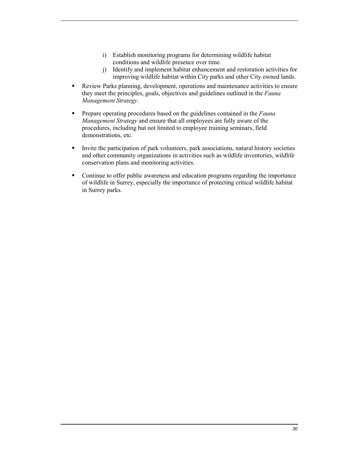- i) Establish monitoring programs for determining wildlife habitat conditions and wildlife presence over time.
- j) Identify and implement habitat enhancement and restoration activities for improving wildlife habitat within City parks and other City owned lands.
- - Review Parks planning, development, operations and maintenance activities to ensure they meet the principles, goals, objectives and guidelines outlined in the *Fauna Management Strategy*.
- - Prepare operating procedures based on the guidelines contained in the *Fauna Management Strategy* and ensure that all employees are fully aware of the procedures, including but not limited to employee training seminars, field demonstrations, etc.
- - Invite the participation of park volunteers, park associations, natural history societies and other community organizations in activities such as wildlife inventories, wildlife conservation plans and monitoring activities.
- - Continue to offer public awareness and education programs regarding the importance of wildlife in Surrey, especially the importance of protecting critical wildlife habitat in Surrey parks.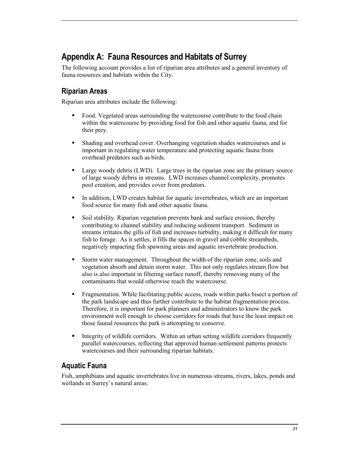## <span id="page-30-0"></span>**Appendix A: Fauna Resources and Habitats of Surrey**

The following account provides a list of riparian area attributes and a general inventory of fauna resources and habitats within the City.

## **Riparian Areas**

Riparian area attributes include the following:

- - Food. Vegetated areas surrounding the watercourse contribute to the food chain within the watercourse by providing food for fish and other aquatic fauna, and for their prey.
- - Shading and overhead cover. Overhanging vegetation shades watercourses and is important in regulating water temperature and protecting aquatic fauna from overhead predators such as birds.
- - Large woody debris (LWD). Large trees in the riparian zone are the primary source of large woody debris in streams. LWD increases channel complexity, promotes pool creation, and provides cover from predators.
- - In addition, LWD creates habitat for aquatic invertebrates, which are an important food source for many fish and other aquatic fauna.
- - Soil stability. Riparian vegetation prevents bank and surface erosion, thereby contributing to channel stability and reducing sediment transport. Sediment in streams irritates the gills of fish and increases turbidity, making it difficult for many fish to forage. As it settles, it fills the spaces in gravel and cobble streambeds, negatively impacting fish spawning areas and aquatic invertebrate production.
- - Storm water management. Throughout the width of the riparian zone, soils and vegetation absorb and detain storm water. This not only regulates stream flow but also is also important in filtering surface runoff, thereby removing many of the contaminants that would otherwise reach the watercourse.
- - Fragmentation. While facilitating public access, roads within parks bisect a portion of the park landscape and thus further contribute to the habitat fragmentation process. Therefore, it is important for park planners and administrators to know the park environment well enough to choose corridors for roads that have the least impact on those faunal resources the park is attempting to conserve.
- - Integrity of wildlife corridors. Within an urban setting wildlife corridors frequently parallel watercourses, reflecting that approved human settlement patterns protects watercourses and their surrounding riparian habitats.

## **Aquatic Fauna**

Fish, amphibians and aquatic invertebrates live in numerous streams, rivers, lakes, ponds and wetlands in Surrey's natural areas.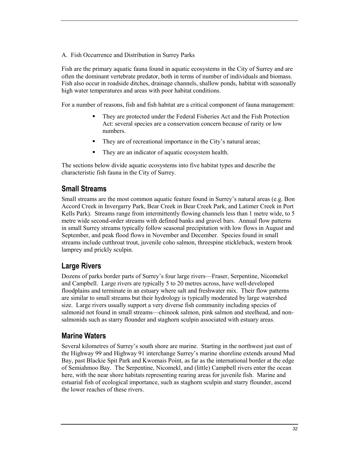A. Fish Occurrence and Distribution in Surrey Parks

Fish are the primary aquatic fauna found in aquatic ecosystems in the City of Surrey and are often the dominant vertebrate predator, both in terms of number of individuals and biomass. Fish also occur in roadside ditches, drainage channels, shallow ponds, habitat with seasonally high water temperatures and areas with poor habitat conditions.

For a number of reasons, fish and fish habitat are a critical component of fauna management:

- - They are protected under the Federal Fisheries Act and the Fish Protection Act: several species are a conservation concern because of rarity or low numbers.
- -They are of recreational importance in the City's natural areas;
- -They are an indicator of aquatic ecosystem health.

The sections below divide aquatic ecosystems into five habitat types and describe the characteristic fish fauna in the City of Surrey.

#### **Small Streams**

Small streams are the most common aquatic feature found in Surrey's natural areas (e.g. Bon Accord Creek in Invergarry Park, Bear Creek in Bear Creek Park, and Latimer Creek in Port Kells Park). Streams range from intermittently flowing channels less than 1 metre wide, to 5 metre wide second-order streams with defined banks and gravel bars. Annual flow patterns in small Surrey streams typically follow seasonal precipitation with low flows in August and September, and peak flood flows in November and December. Species found in small streams include cutthroat trout, juvenile coho salmon, threespine stickleback, western brook lamprey and prickly sculpin.

#### **Large Rivers**

Dozens of parks border parts of Surrey's four large rivers—Fraser, Serpentine, Nicomekel and Campbell. Large rivers are typically 5 to 20 metres across, have well-developed floodplains and terminate in an estuary where salt and freshwater mix. Their flow patterns are similar to small streams but their hydrology is typically moderated by large watershed size. Large rivers usually support a very diverse fish community including species of salmonid not found in small streams—chinook salmon, pink salmon and steelhead, and nonsalmonids such as starry flounder and staghorn sculpin associated with estuary areas.

#### **Marine Waters**

Several kilometres of Surrey's south shore are marine. Starting in the northwest just east of the Highway 99 and Highway 91 interchange Surrey's marine shoreline extends around Mud Bay, past Blackie Spit Park and Kwomais Point, as far as the international border at the edge of Semiahmoo Bay. The Serpentine, Nicomekl, and (little) Campbell rivers enter the ocean here, with the near shore habitats representing rearing areas for juvenile fish. Marine and estuarial fish of ecological importance, such as staghorn sculpin and starry flounder, ascend the lower reaches of these rivers.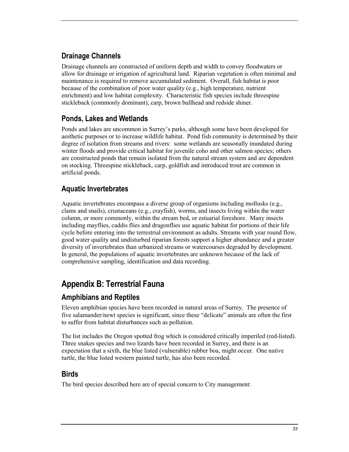## <span id="page-32-0"></span>**Drainage Channels**

Drainage channels are constructed of uniform depth and width to convey floodwaters or allow for drainage or irrigation of agricultural land. Riparian vegetation is often minimal and maintenance is required to remove accumulated sediment. Overall, fish habitat is poor because of the combination of poor water quality (e.g., high temperature, nutrient enrichment) and low habitat complexity. Characteristic fish species include threespine stickleback (commonly dominant), carp, brown bullhead and redside shiner.

## **Ponds, Lakes and Wetlands**

Ponds and lakes are uncommon in Surrey's parks, although some have been developed for aesthetic purposes or to increase wildlife habitat. Pond fish community is determined by their degree of isolation from streams and rivers: some wetlands are seasonally inundated during winter floods and provide critical habitat for juvenile coho and other salmon species; others are constructed ponds that remain isolated from the natural stream system and are dependent on stocking. Threespine stickleback, carp, goldfish and introduced trout are common in artificial ponds.

## **Aquatic Invertebrates**

Aquatic invertebrates encompass a diverse group of organisms including mollusks (e.g., clams and snails), crustaceans (e.g., crayfish), worms, and insects living within the water column, or more commonly, within the stream bed, or estuarial foreshore. Many insects including mayflies, caddis flies and dragonflies use aquatic habitat for portions of their life cycle before entering into the terrestrial environment as adults. Streams with year round flow, good water quality and undisturbed riparian forests support a higher abundance and a greater diversity of invertebrates than urbanized streams or watercourses degraded by development. In general, the populations of aquatic invertebrates are unknown because of the lack of comprehensive sampling, identification and data recording.

## **Appendix B: Terrestrial Fauna**

## **Amphibians and Reptiles**

Eleven amphibian species have been recorded in natural areas of Surrey. The presence of five salamander/newt species is significant, since these "delicate" animals are often the first to suffer from habitat disturbances such as pollution.

The list includes the Oregon spotted frog which is considered critically imperiled (red-listed). Three snakes species and two lizards have been recorded in Surrey, and there is an expectation that a sixth, the blue listed (vulnerable) rubber boa, might occur. One native turtle, the blue listed western painted turtle, has also been recorded.

## **Birds**

The bird species described here are of special concern to City management: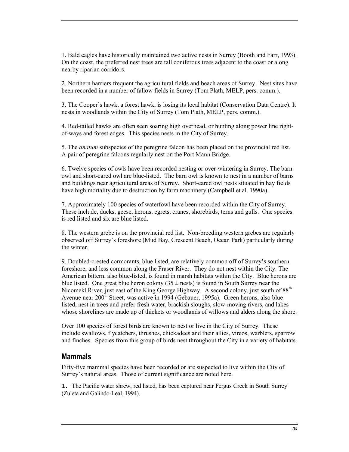1. Bald eagles have historically maintained two active nests in Surrey (Booth and Farr, 1993). On the coast, the preferred nest trees are tall coniferous trees adjacent to the coast or along nearby riparian corridors.

2. Northern harriers frequent the agricultural fields and beach areas of Surrey. Nest sites have been recorded in a number of fallow fields in Surrey (Tom Plath, MELP, pers. comm.).

3. The Cooper's hawk, a forest hawk, is losing its local habitat (Conservation Data Centre). It nests in woodlands within the City of Surrey (Tom Plath, MELP, pers. comm.).

4. Red-tailed hawks are often seen soaring high overhead, or hunting along power line rightof-ways and forest edges. This species nests in the City of Surrey.

5. The *anatum* subspecies of the peregrine falcon has been placed on the provincial red list. A pair of peregrine falcons regularly nest on the Port Mann Bridge.

6. Twelve species of owls have been recorded nesting or over-wintering in Surrey. The barn owl and short-eared owl are blue-listed. The barn owl is known to nest in a number of barns and buildings near agricultural areas of Surrey. Short-eared owl nests situated in hay fields have high mortality due to destruction by farm machinery (Campbell et al. 1990a).

7. Approximately 100 species of waterfowl have been recorded within the City of Surrey. These include, ducks, geese, herons, egrets, cranes, shorebirds, terns and gulls. One species is red listed and six are blue listed.

8. The western grebe is on the provincial red list. Non-breeding western grebes are regularly observed off Surrey's foreshore (Mud Bay, Crescent Beach, Ocean Park) particularly during the winter.

9. Doubled-crested cormorants, blue listed, are relatively common off of Surrey's southern foreshore, and less common along the Fraser River. They do not nest within the City. The American bittern, also blue-listed, is found in marsh habitats within the City. Blue herons are blue listed. One great blue heron colony  $(35 \pm \text{ness})$  is found in South Surrey near the Nicomekl River, just east of the King George Highway. A second colony, just south of 88<sup>th</sup> Avenue near 200<sup>th</sup> Street, was active in 1994 (Gebauer, 1995a). Green herons, also blue listed, nest in trees and prefer fresh water, brackish sloughs, slow-moving rivers, and lakes whose shorelines are made up of thickets or woodlands of willows and alders along the shore.

Over 100 species of forest birds are known to nest or live in the City of Surrey. These include swallows, flycatchers, thrushes, chickadees and their allies, vireos, warblers, sparrow and finches. Species from this group of birds nest throughout the City in a variety of habitats.

#### **Mammals**

Fifty-five mammal species have been recorded or are suspected to live within the City of Surrey's natural areas. Those of current significance are noted here.

1. The Pacific water shrew, red listed, has been captured near Fergus Creek in South Surrey (Zuleta and Galindo-Leal, 1994).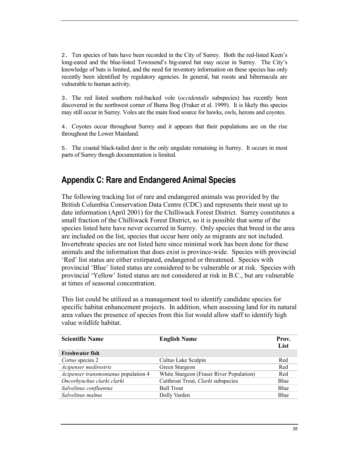<span id="page-34-0"></span>2. Ten species of bats have been recorded in the City of Surrey. Both the red-listed Keen's long-eared and the blue-listed Townsend's big-eared bat may occur in Surrey. The City's knowledge of bats is limited, and the need for inventory information on these species has only recently been identified by regulatory agencies. In general, bat roosts and hibernacula are vulnerable to human activity.

3. The red listed southern red-backed vole (*occidentalis* subspecies) has recently been discovered in the northwest corner of Burns Bog (Fraker et al. 1999). It is likely this species may still occur in Surrey. Voles are the main food source for hawks, owls, herons and coyotes.

4. Coyotes occur throughout Surrey and it appears that their populations are on the rise throughout the Lower Mainland.

5. The coastal black-tailed deer is the only ungulate remaining in Surrey. It occurs in most parts of Surrey though documentation is limited.

## **Appendix C: Rare and Endangered Animal Species**

The following tracking list of rare and endangered animals was provided by the British Columbia Conservation Data Centre (CDC) and represents their most up to date information (April 2001) for the Chilliwack Forest District. Surrey constitutes a small fraction of the Chilliwack Forest District, so it is possible that some of the species listed here have never occurred in Surrey. Only species that breed in the area are included on the list, species that occur here only as migrants are not included. Invertebrate species are not listed here since minimal work has been done for these animals and the information that does exist is province-wide. Species with provincial 'Red' list status are either extirpated, endangered or threatened. Species with provincial 'Blue' listed status are considered to be vulnerable or at risk. Species with provincial 'Yellow' listed status are not considered at risk in B.C., but are vulnerable at times of seasonal concentration.

This list could be utilized as a management tool to identify candidate species for specific habitat enhancement projects. In addition, when assessing land for its natural area values the presence of species from this list would allow staff to identify high value wildlife habitat.

| <b>Scientific Name</b>               | <b>English Name</b>                      | Prov.<br>List |
|--------------------------------------|------------------------------------------|---------------|
| Freshwater fish                      |                                          |               |
| Cottus species 2                     | Cultus Lake Sculpin                      | Red           |
| Acipenser medirostris                | Green Sturgeon                           | Red           |
| Acipenser transmontanus population 4 | White Sturgeon (Fraser River Population) | Red           |
| Oncorhynchus clarki clarki           | Cutthroat Trout, Clarki subspecies       | Blue          |
| Salvelinus confluentus               | <b>Bull Trout</b>                        | Blue          |
| Salvelinus malma                     | Dolly Varden                             | Blue          |
|                                      |                                          |               |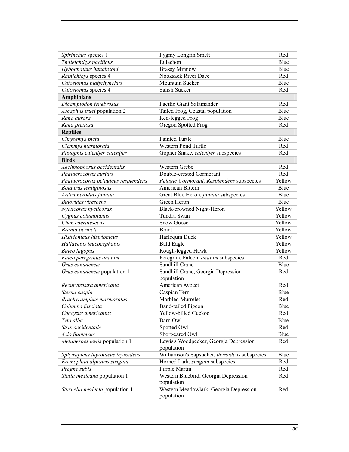| Spirinchus species 1                | Pygmy Longfin Smelt                           | Red         |
|-------------------------------------|-----------------------------------------------|-------------|
| Thaleichthys pacificus              | Eulachon                                      | Blue        |
| Hybognathus hankinsoni              | <b>Brassy Minnow</b>                          | Blue        |
| Rhinichthys species 4               | <b>Nooksack River Dace</b>                    | Red         |
| Catostomus platyrhynchus            | Mountain Sucker                               | <b>Blue</b> |
| Catostomus species 4                | Salish Sucker                                 | Red         |
| <b>Amphibians</b>                   |                                               |             |
| Dicamptodon tenebrosus              | Pacific Giant Salamander                      | Red         |
| Ascaphus truei population 2         | Tailed Frog, Coastal population               | Blue        |
| Rana aurora                         | Red-legged Frog                               | Blue        |
| Rana pretiosa                       | Oregon Spotted Frog                           | Red         |
| <b>Reptiles</b>                     |                                               |             |
| Chrysemys picta                     | Painted Turtle                                | Blue        |
| Clemmys marmorata                   | Western Pond Turtle                           | Red         |
| Pituophis catenifer catenifer       | Gopher Snake, catenifer subspecies            | Red         |
| <b>Birds</b>                        |                                               |             |
| Aechmophorus occidentalis           | Western Grebe                                 | Red         |
| Phalacrocorax auritus               | Double-crested Cormorant                      | Red         |
| Phalacrocorax pelagicus resplendens | Pelagic Cormorant, Resplendens subspecies     | Yellow      |
| Botaurus lentiginosus               | American Bittern                              | Blue        |
| Ardea herodias fannini              | Great Blue Heron, fannini subspecies          | Blue        |
| <b>Butorides</b> virescens          | Green Heron                                   | Blue        |
| Nycticorax nycticorax               | Black-crowned Night-Heron                     | Yellow      |
| Cygnus columbianus                  | Tundra Swan                                   | Yellow      |
| Chen caerulescens                   | <b>Snow Goose</b>                             | Yellow      |
| Branta bernicla                     | <b>Brant</b>                                  | Yellow      |
| Histrionicus histrionicus           | Harlequin Duck                                | Yellow      |
| Haliaeetus leucocephalus            | <b>Bald Eagle</b>                             | Yellow      |
| <b>Buteo</b> lagopus                | Rough-legged Hawk                             | Yellow      |
| Falco peregrinus anatum             | Peregrine Falcon, anatum subspecies           | Red         |
| Grus canadensis                     | Sandhill Crane                                | Blue        |
| Grus canadensis population 1        | Sandhill Crane, Georgia Depression            | Red         |
|                                     | population                                    |             |
| Recurvirostra americana             | American Avocet                               | Red         |
| Sterna caspia                       | Caspian Tern                                  | Blue        |
| Brachyramphus marmoratus            | Marbled Murrelet                              | Red         |
| Columba fasciata                    | <b>Band-tailed Pigeon</b>                     | Blue        |
| Coccyzus americanus                 | Yellow-billed Cuckoo                          | Red         |
| Tyto alba                           | Barn Owl                                      | Blue        |
| Strix occidentalis                  | Spotted Owl                                   | Red         |
| Asio flammeus                       | Short-eared Owl                               | Blue        |
| Melanerpes lewis population 1       | Lewis's Woodpecker, Georgia Depression        | Red         |
|                                     | population                                    |             |
| Sphyrapicus thyroideus thyroideus   | Williamson's Sapsucker, thyroideus subspecies | Blue        |
| Eremophila alpestris strigata       | Horned Lark, <i>strigata</i> subspecies       | Red         |
| Progne subis                        | Purple Martin                                 | Red         |
| Sialia mexicana population 1        | Western Bluebird, Georgia Depression          | Red         |
|                                     | population                                    |             |
| Sturnella neglecta population 1     | Western Meadowlark, Georgia Depression        | Red         |
|                                     | population                                    |             |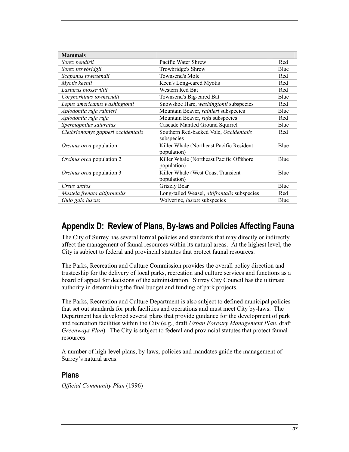<span id="page-36-0"></span>

| <b>Mammals</b>                     |                                                          |      |
|------------------------------------|----------------------------------------------------------|------|
| Sorex bendirii                     | Pacific Water Shrew                                      | Red  |
| Sorex trowbridgii                  | Trowbridge's Shrew                                       | Blue |
| Scapanus townsendii                | Townsend's Mole                                          | Red  |
| Myotis keenii                      | Keen's Long-eared Myotis                                 | Red  |
| Lasiurus blossevillii              | Western Red Bat                                          | Red  |
| Corynorhinus townsendii            | Townsend's Big-eared Bat                                 | Blue |
| Lepus americanus washingtonii      | Snowshoe Hare, washingtonii subspecies                   | Red  |
| Aplodontia rufa rainieri           | Mountain Beaver, rainieri subspecies                     | Blue |
| Aplodontia rufa rufa               | Mountain Beaver, rufa subspecies                         | Red  |
| Spermophilus saturatus             | Cascade Mantled Ground Squirrel                          | Blue |
| Clethrionomys gapperi occidentalis | Southern Red-backed Vole, Occidentalis<br>subspecies     | Red  |
| <i>Orcinus orca</i> population 1   | Killer Whale (Northeast Pacific Resident<br>population)  | Blue |
| <i>Orcinus orca</i> population 2   | Killer Whale (Northeast Pacific Offshore)<br>population) | Blue |
| <i>Orcinus orca</i> population 3   | Killer Whale (West Coast Transient<br>population)        | Blue |
| Ursus arctos                       | Grizzly Bear                                             | Blue |
| Mustela frenata altifrontalis      | Long-tailed Weasel, altifrontalis subspecies             | Red  |
| Gulo gulo luscus                   | Wolverine, <i>luscus</i> subspecies                      | Blue |

## **Appendix D: Review of Plans, By-laws and Policies Affecting Fauna**

The City of Surrey has several formal policies and standards that may directly or indirectly affect the management of faunal resources within its natural areas. At the highest level, the City is subject to federal and provincial statutes that protect faunal resources.

The Parks, Recreation and Culture Commission provides the overall policy direction and trusteeship for the delivery of local parks, recreation and culture services and functions as a board of appeal for decisions of the administration. Surrey City Council has the ultimate authority in determining the final budget and funding of park projects.

The Parks, Recreation and Culture Department is also subject to defined municipal policies that set out standards for park facilities and operations and must meet City by-laws. The Department has developed several plans that provide guidance for the development of park and recreation facilities within the City (e.g., draft *Urban Forestry Management Plan*, draft *Greenways Plan*). The City is subject to federal and provincial statutes that protect faunal resources.

A number of high-level plans, by-laws, policies and mandates guide the management of Surrey's natural areas.

#### **Plans**

*Official Community Plan* (1996)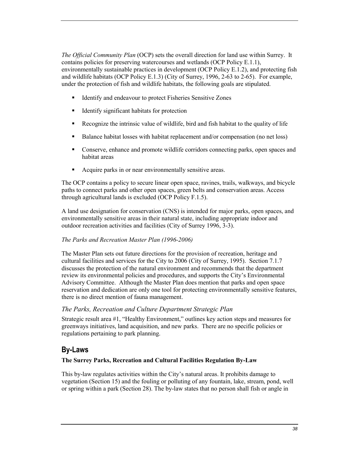*The Official Community Plan* (OCP) sets the overall direction for land use within Surrey. It contains policies for preserving watercourses and wetlands (OCP Policy E.1.1), environmentally sustainable practices in development (OCP Policy E.1.2), and protecting fish and wildlife habitats (OCP Policy E.1.3) (City of Surrey, 1996, 2-63 to 2-65). For example, under the protection of fish and wildlife habitats, the following goals are stipulated.

- -Identify and endeavour to protect Fisheries Sensitive Zones
- -Identify significant habitats for protection
- -Recognize the intrinsic value of wildlife, bird and fish habitat to the quality of life
- -Balance habitat losses with habitat replacement and/or compensation (no net loss)
- - Conserve, enhance and promote wildlife corridors connecting parks, open spaces and habitat areas
- -Acquire parks in or near environmentally sensitive areas.

The OCP contains a policy to secure linear open space, ravines, trails, walkways, and bicycle paths to connect parks and other open spaces, green belts and conservation areas. Access through agricultural lands is excluded (OCP Policy F.1.5).

A land use designation for conservation (CNS) is intended for major parks, open spaces, and environmentally sensitive areas in their natural state, including appropriate indoor and outdoor recreation activities and facilities (City of Surrey 1996, 3-3).

#### *The Parks and Recreation Master Plan (1996-2006)*

The Master Plan sets out future directions for the provision of recreation, heritage and cultural facilities and services for the City to 2006 (City of Surrey, 1995). Section 7.1.7 discusses the protection of the natural environment and recommends that the department review its environmental policies and procedures, and supports the City's Environmental Advisory Committee. Although the Master Plan does mention that parks and open space reservation and dedication are only one tool for protecting environmentally sensitive features, there is no direct mention of fauna management.

#### *The Parks, Recreation and Culture Department Strategic Plan*

Strategic result area #1, "Healthy Environment," outlines key action steps and measures for greenways initiatives, land acquisition, and new parks. There are no specific policies or regulations pertaining to park planning.

## **By-Laws**

#### **The Surrey Parks, Recreation and Cultural Facilities Regulation By-Law**

This by-law regulates activities within the City's natural areas. It prohibits damage to vegetation (Section 15) and the fouling or polluting of any fountain, lake, stream, pond, well or spring within a park (Section 28). The by-law states that no person shall fish or angle in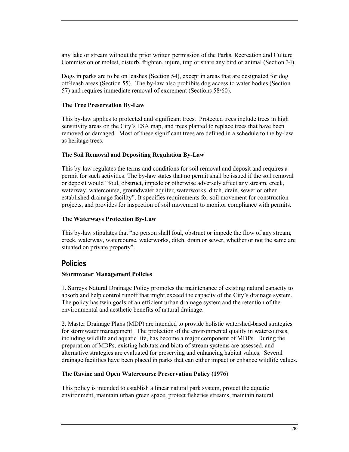any lake or stream without the prior written permission of the Parks, Recreation and Culture Commission or molest, disturb, frighten, injure, trap or snare any bird or animal (Section 34).

Dogs in parks are to be on leashes (Section 54), except in areas that are designated for dog off-leash areas (Section 55). The by-law also prohibits dog access to water bodies (Section 57) and requires immediate removal of excrement (Sections 58/60).

#### **The Tree Preservation By-Law**

This by-law applies to protected and significant trees. Protected trees include trees in high sensitivity areas on the City's ESA map, and trees planted to replace trees that have been removed or damaged. Most of these significant trees are defined in a schedule to the by-law as heritage trees.

#### **The Soil Removal and Depositing Regulation By-Law**

This by-law regulates the terms and conditions for soil removal and deposit and requires a permit for such activities. The by-law states that no permit shall be issued if the soil removal or deposit would "foul, obstruct, impede or otherwise adversely affect any stream, creek, waterway, watercourse, groundwater aquifer, waterworks, ditch, drain, sewer or other established drainage facility". It specifies requirements for soil movement for construction projects, and provides for inspection of soil movement to monitor compliance with permits.

#### **The Waterways Protection By-Law**

This by-law stipulates that "no person shall foul, obstruct or impede the flow of any stream, creek, waterway, watercourse, waterworks, ditch, drain or sewer, whether or not the same are situated on private property".

#### **Policies**

#### **Stormwater Management Policies**

1. Surreys Natural Drainage Policy promotes the maintenance of existing natural capacity to absorb and help control runoff that might exceed the capacity of the City's drainage system. The policy has twin goals of an efficient urban drainage system and the retention of the environmental and aesthetic benefits of natural drainage.

2. Master Drainage Plans (MDP) are intended to provide holistic watershed-based strategies for stormwater management. The protection of the environmental quality in watercourses, including wildlife and aquatic life, has become a major component of MDPs. During the preparation of MDPs, existing habitats and biota of stream systems are assessed, and alternative strategies are evaluated for preserving and enhancing habitat values. Several drainage facilities have been placed in parks that can either impact or enhance wildlife values.

#### **The Ravine and Open Watercourse Preservation Policy (1976**)

This policy is intended to establish a linear natural park system, protect the aquatic environment, maintain urban green space, protect fisheries streams, maintain natural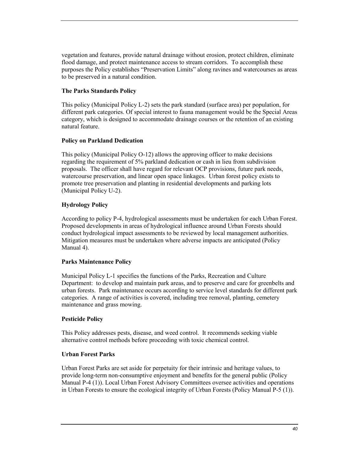vegetation and features, provide natural drainage without erosion, protect children, eliminate flood damage, and protect maintenance access to stream corridors. To accomplish these purposes the Policy establishes "Preservation Limits" along ravines and watercourses as areas to be preserved in a natural condition.

#### **The Parks Standards Policy**

This policy (Municipal Policy L-2) sets the park standard (surface area) per population, for different park categories. Of special interest to fauna management would be the Special Areas category, which is designed to accommodate drainage courses or the retention of an existing natural feature.

#### **Policy on Parkland Dedication**

This policy (Municipal Policy O-12) allows the approving officer to make decisions regarding the requirement of 5% parkland dedication or cash in lieu from subdivision proposals. The officer shall have regard for relevant OCP provisions, future park needs, watercourse preservation, and linear open space linkages. Urban forest policy exists to promote tree preservation and planting in residential developments and parking lots (Municipal Policy U-2).

#### **Hydrology Policy**

According to policy P-4, hydrological assessments must be undertaken for each Urban Forest. Proposed developments in areas of hydrological influence around Urban Forests should conduct hydrological impact assessments to be reviewed by local management authorities. Mitigation measures must be undertaken where adverse impacts are anticipated (Policy Manual 4).

#### **Parks Maintenance Policy**

Municipal Policy L-1 specifies the functions of the Parks, Recreation and Culture Department: to develop and maintain park areas, and to preserve and care for greenbelts and urban forests. Park maintenance occurs according to service level standards for different park categories. A range of activities is covered, including tree removal, planting, cemetery maintenance and grass mowing.

#### **Pesticide Policy**

This Policy addresses pests, disease, and weed control. It recommends seeking viable alternative control methods before proceeding with toxic chemical control.

#### **Urban Forest Parks**

Urban Forest Parks are set aside for perpetuity for their intrinsic and heritage values, to provide long-term non-consumptive enjoyment and benefits for the general public (Policy Manual P-4 (1)). Local Urban Forest Advisory Committees oversee activities and operations in Urban Forests to ensure the ecological integrity of Urban Forests (Policy Manual P-5 (1)).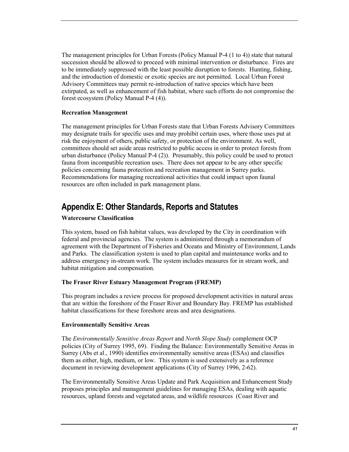<span id="page-40-0"></span>The management principles for Urban Forests (Policy Manual P-4 (1 to 4)) state that natural succession should be allowed to proceed with minimal intervention or disturbance. Fires are to be immediately suppressed with the least possible disruption to forests. Hunting, fishing, and the introduction of domestic or exotic species are not permitted. Local Urban Forest Advisory Committees may permit re-introduction of native species which have been extirpated, as well as enhancement of fish habitat, where such efforts do not compromise the forest ecosystem (Policy Manual P-4 (4)).

#### **Recreation Management**

The management principles for Urban Forests state that Urban Forests Advisory Committees may designate trails for specific uses and may prohibit certain uses, where those uses put at risk the enjoyment of others, public safety, or protection of the environment. As well, committees should set aside areas restricted to public access in order to protect forests from urban disturbance (Policy Manual P-4 (2)). Presumably, this policy could be used to protect fauna from incompatible recreation uses. There does not appear to be any other specific policies concerning fauna protection and recreation management in Surrey parks. Recommendations for managing recreational activities that could impact upon faunal resources are often included in park management plans.

## **Appendix E: Other Standards, Reports and Statutes**

#### **Watercourse Classification**

This system, based on fish habitat values, was developed by the City in coordination with federal and provincial agencies. The system is administered through a memorandum of agreement with the Department of Fisheries and Oceans and Ministry of Environment, Lands and Parks. The classification system is used to plan capital and maintenance works and to address emergency in-stream work. The system includes measures for in stream work, and habitat mitigation and compensation.

#### **The Fraser River Estuary Management Program (FREMP)**

This program includes a review process for proposed development activities in natural areas that are within the foreshore of the Fraser River and Boundary Bay. FREMP has established habitat classifications for these foreshore areas and area designations.

#### **Environmentally Sensitive Areas**

The *Environmentally Sensitive Areas Report* and *North Slope Study* complement OCP policies (City of Surrey 1995, 69). Finding the Balance: Environmentally Sensitive Areas in Surrey (Abs et al., 1990) identifies environmentally sensitive areas (ESAs) and classifies them as either, high, medium, or low. This system is used extensively as a reference document in reviewing development applications (City of Surrey 1996, 2-62).

The Environmentally Sensitive Areas Update and Park Acquisition and Enhancement Study proposes principles and management guidelines for managing ESAs, dealing with aquatic resources, upland forests and vegetated areas, and wildlife resources (Coast River and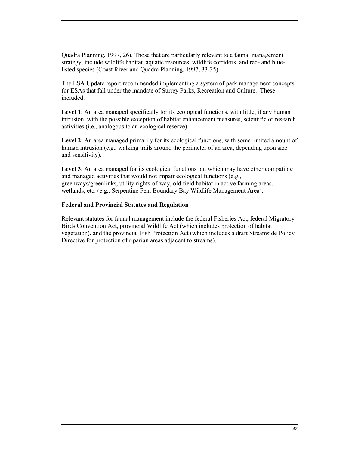Quadra Planning, 1997, 26). Those that are particularly relevant to a faunal management strategy, include wildlife habitat, aquatic resources, wildlife corridors, and red- and bluelisted species (Coast River and Quadra Planning, 1997, 33-35).

The ESA Update report recommended implementing a system of park management concepts for ESAs that fall under the mandate of Surrey Parks, Recreation and Culture. These included:

**Level 1**: An area managed specifically for its ecological functions, with little, if any human intrusion, with the possible exception of habitat enhancement measures, scientific or research activities (i.e., analogous to an ecological reserve).

**Level 2**: An area managed primarily for its ecological functions, with some limited amount of human intrusion (e.g., walking trails around the perimeter of an area, depending upon size and sensitivity).

**Level 3**: An area managed for its ecological functions but which may have other compatible and managed activities that would not impair ecological functions (e.g., greenways/greenlinks, utility rights-of-way, old field habitat in active farming areas, wetlands, etc. (e.g., Serpentine Fen, Boundary Bay Wildlife Management Area).

#### **Federal and Provincial Statutes and Regulation**

Relevant statutes for faunal management include the federal Fisheries Act, federal Migratory Birds Convention Act, provincial Wildlife Act (which includes protection of habitat vegetation), and the provincial Fish Protection Act (which includes a draft Streamside Policy Directive for protection of riparian areas adjacent to streams).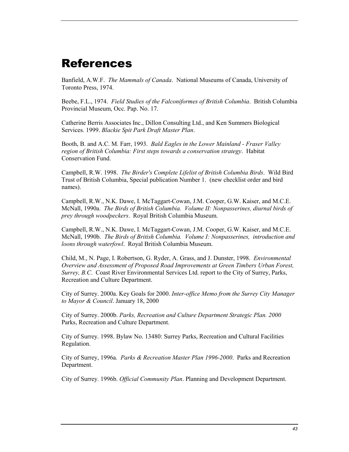## <span id="page-42-0"></span>References

Banfield, A.W.F. *The Mammals of Canada*. National Museums of Canada, University of Toronto Press, 1974.

Beebe, F.L., 1974. *Field Studies of the Falconiformes of British Columbia*. British Columbia Provincial Museum, Occ. Pap. No. 17.

Catherine Berris Associates Inc., Dillon Consulting Ltd., and Ken Summers Biological Services. 1999. *Blackie Spit Park Draft Master Plan*.

Booth, B. and A.C. M. Farr, 1993. *Bald Eagles in the Lower Mainland - Fraser Valley region of British Columbia: First steps towards a conservation strategy*. Habitat Conservation Fund.

Campbell, R.W. 1998. *The Birder's Complete Lifelist of British Columbia Birds*. Wild Bird Trust of British Columbia, Special publication Number 1. (new checklist order and bird names).

Campbell, R.W., N.K. Dawe, I. McTaggart-Cowan, J.M. Cooper, G.W. Kaiser, and M.C.E. McNall, 1990a. *The Birds of British Columbia. Volume II: Nonpasserines, diurnal birds of prey through woodpeckers*. Royal British Columbia Museum.

Campbell, R.W., N.K. Dawe, I. McTaggart-Cowan, J.M. Cooper, G.W. Kaiser, and M.C.E. McNall, 1990b. *The Birds of British Columbia. Volume I: Nonpasserines, introduction and loons through waterfowl*. Royal British Columbia Museum.

Child, M., N. Page, I. Robertson, G. Ryder, A. Grass, and J. Dunster, 1998. *Environmental Overview and Assessment of Proposed Road Improvements at Green Timbers Urban Forest, Surrey, B.C*. Coast River Environmental Services Ltd. report to the City of Surrey, Parks, Recreation and Culture Department.

City of Surrey. 2000a. Key Goals for 2000. *Inter-office Memo from the Surrey City Manager to Mayor & Council*. January 18, 2000

City of Surrey. 2000b. *Parks, Recreation and Culture Department Strategic Plan. 2000* Parks, Recreation and Culture Department.

City of Surrey. 1998. Bylaw No. 13480: Surrey Parks, Recreation and Cultural Facilities Regulation.

City of Surrey, 1996a. *Parks & Recreation Master Plan 1996-2000*. Parks and Recreation Department.

City of Surrey. 1996b. *Official Community Plan*. Planning and Development Department.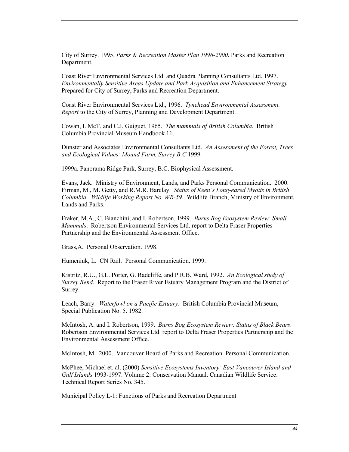City of Surrey. 1995. *Parks & Recreation Master Plan 1996-2000*. Parks and Recreation Department.

Coast River Environmental Services Ltd. and Quadra Planning Consultants Ltd. 1997. *Environmentally Sensitive Areas Update and Park Acquisition and Enhancement Strategy*. Prepared for City of Surrey, Parks and Recreation Department.

Coast River Environmental Services Ltd., 1996. *Tynehead Environmental Assessment. Report* to the City of Surrey, Planning and Development Department.

Cowan, I. McT. and C.J. Guiguet, 1965. *The mammals of British Columbia*. British Columbia Provincial Museum Handbook 11.

Dunster and Associates Environmental Consultants Ltd.. *An Assessment of the Forest, Trees and Ecological Values: Mound Farm, Surrey B.C* 1999.

1999a. Panorama Ridge Park, Surrey, B.C. Biophysical Assessment.

Evans, Jack. Ministry of Environment, Lands, and Parks Personal Communication. 2000. Firman, M., M. Getty, and R.M.R. Barclay. *Status of Keen's Long-eared Myotis in British Columbia. Wildlife Working Report No. WR-59*. Wildlife Branch, Ministry of Environment, Lands and Parks.

Fraker, M.A., C. Bianchini, and I. Robertson, 1999. *Burns Bog Ecosystem Review: Small Mammals*. Robertson Environmental Services Ltd. report to Delta Fraser Properties Partnership and the Environmental Assessment Office.

Grass,A. Personal Observation. 1998.

Humeniuk, L. CN Rail. Personal Communication. 1999.

Kistritz, R.U., G.L. Porter, G. Radcliffe, and P.R.B. Ward, 1992. *An Ecological study of Surrey Bend*. Report to the Fraser River Estuary Management Program and the District of Surrey.

Leach, Barry. *Waterfowl on a Pacific Estuary*. British Columbia Provincial Museum, Special Publication No. 5. 1982.

McIntosh, A. and I. Robertson, 1999. *Burns Bog Ecosystem Review: Status of Black Bears*. Robertson Environmental Services Ltd. report to Delta Fraser Properties Partnership and the Environmental Assessment Office.

McIntosh, M. 2000. Vancouver Board of Parks and Recreation. Personal Communication.

McPhee, Michael et. al. (2000) *Sensitive Ecosystems Inventory: East Vancouver Island and Gulf Islands* 1993-1997. Volume 2: Conservation Manual. Canadian Wildlife Service. Technical Report Series No. 345.

Municipal Policy L-1: Functions of Parks and Recreation Department